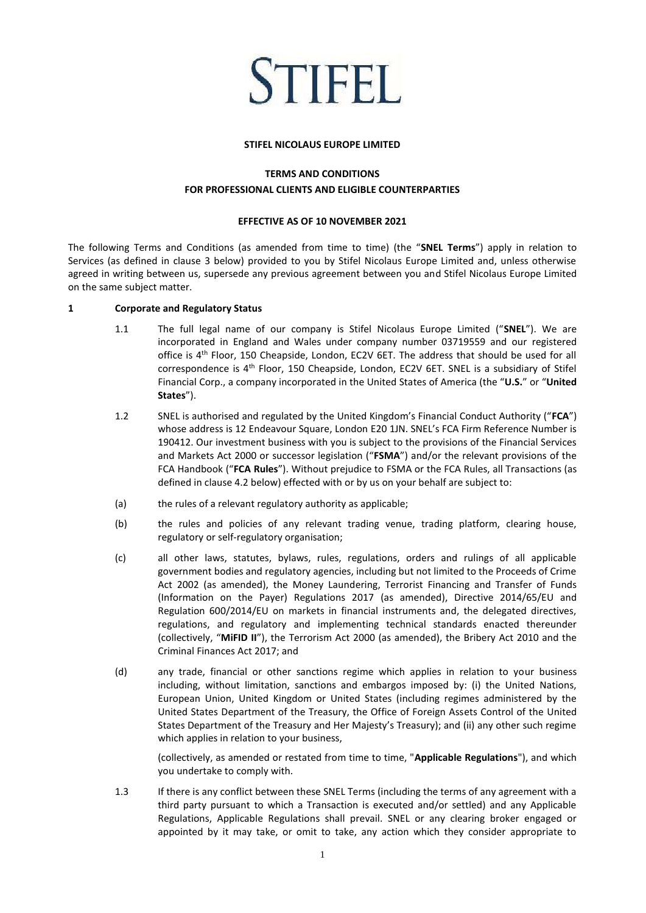# **STIFEL**

#### **STIFEL NICOLAUS EUROPE LIMITED**

# **TERMS AND CONDITIONS FOR PROFESSIONAL CLIENTS AND ELIGIBLE COUNTERPARTIES**

## **EFFECTIVE AS OF 10 NOVEMBER 2021**

The following Terms and Conditions (as amended from time to time) (the "**SNEL Terms**") apply in relation to Services (as defined in clause 3 below) provided to you by Stifel Nicolaus Europe Limited and, unless otherwise agreed in writing between us, supersede any previous agreement between you and Stifel Nicolaus Europe Limited on the same subject matter.

# **1 Corporate and Regulatory Status**

- 1.1 The full legal name of our company is Stifel Nicolaus Europe Limited ("**SNEL**"). We are incorporated in England and Wales under company number 03719559 and our registered office is 4th Floor, 150 Cheapside, London, EC2V 6ET. The address that should be used for all correspondence is 4<sup>th</sup> Floor, 150 Cheapside, London, EC2V 6ET. SNEL is a subsidiary of Stifel Financial Corp., a company incorporated in the United States of America (the "**U.S.**" or "**United States**").
- 1.2 SNEL is authorised and regulated by the United Kingdom's Financial Conduct Authority ("**FCA**") whose address is 12 Endeavour Square, London E20 1JN. SNEL's FCA Firm Reference Number is 190412. Our investment business with you is subject to the provisions of the Financial Services and Markets Act 2000 or successor legislation ("**FSMA**") and/or the relevant provisions of the FCA Handbook ("**FCA Rules**"). Without prejudice to FSMA or the FCA Rules, all Transactions (as defined in clause 4.2 below) effected with or by us on your behalf are subject to:
- (a) the rules of a relevant regulatory authority as applicable;
- (b) the rules and policies of any relevant trading venue, trading platform, clearing house, regulatory or self-regulatory organisation;
- (c) all other laws, statutes, bylaws, rules, regulations, orders and rulings of all applicable government bodies and regulatory agencies, including but not limited to the Proceeds of Crime Act 2002 (as amended), the Money Laundering, Terrorist Financing and Transfer of Funds (Information on the Payer) Regulations 2017 (as amended), Directive 2014/65/EU and Regulation 600/2014/EU on markets in financial instruments and, the delegated directives, regulations, and regulatory and implementing technical standards enacted thereunder (collectively, "**MiFID II**"), the Terrorism Act 2000 (as amended), the Bribery Act 2010 and the Criminal Finances Act 2017; and
- (d) any trade, financial or other sanctions regime which applies in relation to your business including, without limitation, sanctions and embargos imposed by: (i) the United Nations, European Union, United Kingdom or United States (including regimes administered by the United States Department of the Treasury, the Office of Foreign Assets Control of the United States Department of the Treasury and Her Majesty's Treasury); and (ii) any other such regime which applies in relation to your business,

(collectively, as amended or restated from time to time, "**Applicable Regulations**"), and which you undertake to comply with.

1.3 If there is any conflict between these SNEL Terms (including the terms of any agreement with a third party pursuant to which a Transaction is executed and/or settled) and any Applicable Regulations, Applicable Regulations shall prevail. SNEL or any clearing broker engaged or appointed by it may take, or omit to take, any action which they consider appropriate to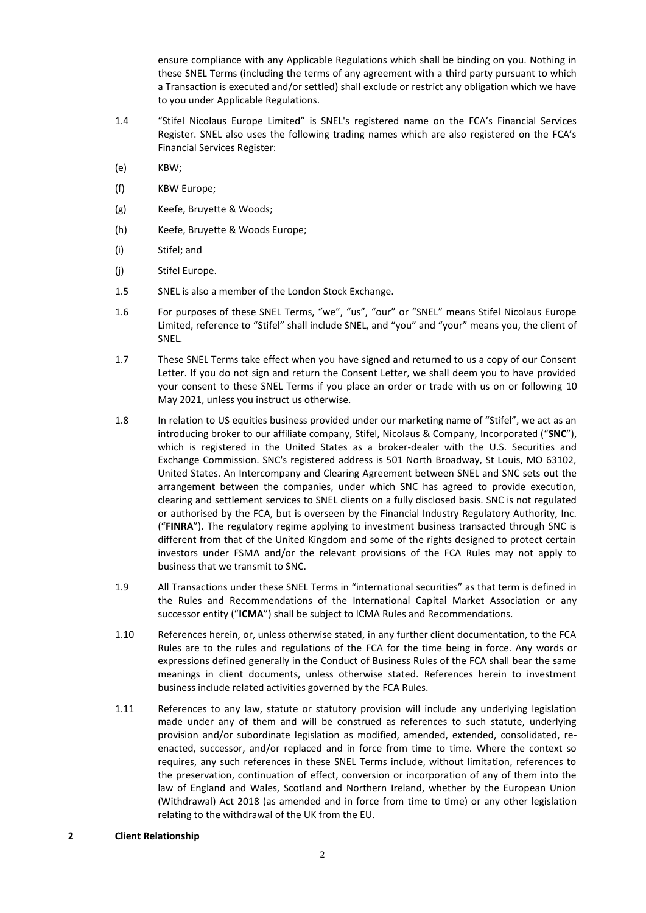ensure compliance with any Applicable Regulations which shall be binding on you. Nothing in these SNEL Terms (including the terms of any agreement with a third party pursuant to which a Transaction is executed and/or settled) shall exclude or restrict any obligation which we have to you under Applicable Regulations.

- 1.4 "Stifel Nicolaus Europe Limited" is SNEL's registered name on the FCA's Financial Services Register. SNEL also uses the following trading names which are also registered on the FCA's Financial Services Register:
- (e) KBW;
- (f) KBW Europe;
- (g) Keefe, Bruyette & Woods;
- (h) Keefe, Bruyette & Woods Europe;
- (i) Stifel; and
- (j) Stifel Europe.
- 1.5 SNEL is also a member of the London Stock Exchange.
- 1.6 For purposes of these SNEL Terms, "we", "us", "our" or "SNEL" means Stifel Nicolaus Europe Limited, reference to "Stifel" shall include SNEL, and "you" and "your" means you, the client of SNEL.
- 1.7 These SNEL Terms take effect when you have signed and returned to us a copy of our Consent Letter. If you do not sign and return the Consent Letter, we shall deem you to have provided your consent to these SNEL Terms if you place an order or trade with us on or following 10 May 2021, unless you instruct us otherwise.
- 1.8 In relation to US equities business provided under our marketing name of "Stifel", we act as an introducing broker to our affiliate company, Stifel, Nicolaus & Company, Incorporated ("**SNC**"), which is registered in the United States as a broker-dealer with the U.S. Securities and Exchange Commission. SNC's registered address is 501 North Broadway, St Louis, MO 63102, United States. An Intercompany and Clearing Agreement between SNEL and SNC sets out the arrangement between the companies, under which SNC has agreed to provide execution, clearing and settlement services to SNEL clients on a fully disclosed basis. SNC is not regulated or authorised by the FCA, but is overseen by the Financial Industry Regulatory Authority, Inc. ("**FINRA**"). The regulatory regime applying to investment business transacted through SNC is different from that of the United Kingdom and some of the rights designed to protect certain investors under FSMA and/or the relevant provisions of the FCA Rules may not apply to business that we transmit to SNC.
- 1.9 All Transactions under these SNEL Terms in "international securities" as that term is defined in the Rules and Recommendations of the International Capital Market Association or any successor entity ("**ICMA**") shall be subject to ICMA Rules and Recommendations.
- 1.10 References herein, or, unless otherwise stated, in any further client documentation, to the FCA Rules are to the rules and regulations of the FCA for the time being in force. Any words or expressions defined generally in the Conduct of Business Rules of the FCA shall bear the same meanings in client documents, unless otherwise stated. References herein to investment business include related activities governed by the FCA Rules.
- 1.11 References to any law, statute or statutory provision will include any underlying legislation made under any of them and will be construed as references to such statute, underlying provision and/or subordinate legislation as modified, amended, extended, consolidated, reenacted, successor, and/or replaced and in force from time to time. Where the context so requires, any such references in these SNEL Terms include, without limitation, references to the preservation, continuation of effect, conversion or incorporation of any of them into the law of England and Wales, Scotland and Northern Ireland, whether by the European Union (Withdrawal) Act 2018 (as amended and in force from time to time) or any other legislation relating to the withdrawal of the UK from the EU.

## **2 Client Relationship**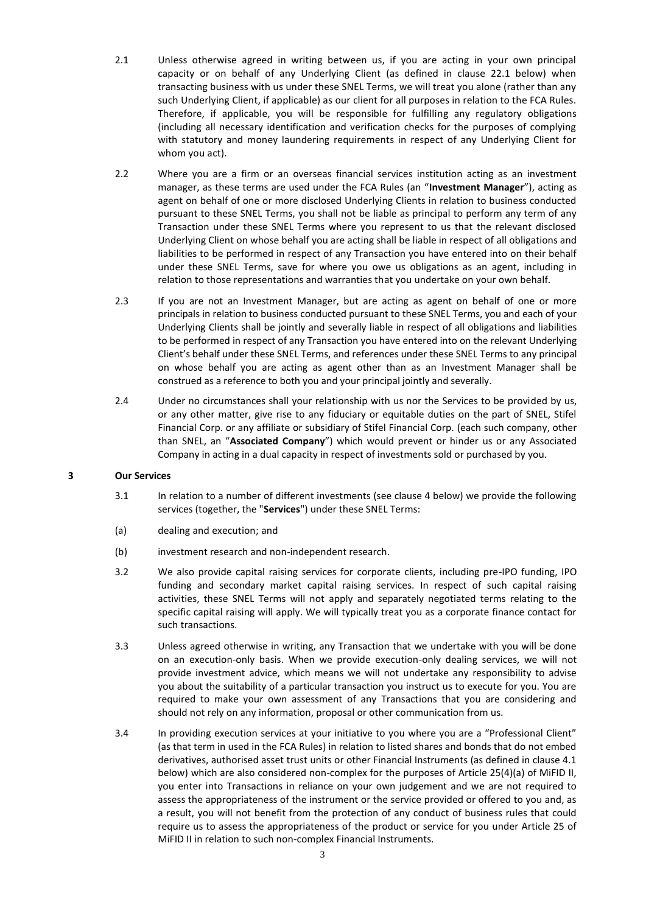- 2.1 Unless otherwise agreed in writing between us, if you are acting in your own principal capacity or on behalf of any Underlying Client (as defined in clause 22.1 below) when transacting business with us under these SNEL Terms, we will treat you alone (rather than any such Underlying Client, if applicable) as our client for all purposes in relation to the FCA Rules. Therefore, if applicable, you will be responsible for fulfilling any regulatory obligations (including all necessary identification and verification checks for the purposes of complying with statutory and money laundering requirements in respect of any Underlying Client for whom you act).
- 2.2 Where you are a firm or an overseas financial services institution acting as an investment manager, as these terms are used under the FCA Rules (an "**Investment Manager**"), acting as agent on behalf of one or more disclosed Underlying Clients in relation to business conducted pursuant to these SNEL Terms, you shall not be liable as principal to perform any term of any Transaction under these SNEL Terms where you represent to us that the relevant disclosed Underlying Client on whose behalf you are acting shall be liable in respect of all obligations and liabilities to be performed in respect of any Transaction you have entered into on their behalf under these SNEL Terms, save for where you owe us obligations as an agent, including in relation to those representations and warranties that you undertake on your own behalf.
- 2.3 If you are not an Investment Manager, but are acting as agent on behalf of one or more principals in relation to business conducted pursuant to these SNEL Terms, you and each of your Underlying Clients shall be jointly and severally liable in respect of all obligations and liabilities to be performed in respect of any Transaction you have entered into on the relevant Underlying Client's behalf under these SNEL Terms, and references under these SNEL Terms to any principal on whose behalf you are acting as agent other than as an Investment Manager shall be construed as a reference to both you and your principal jointly and severally.
- 2.4 Under no circumstances shall your relationship with us nor the Services to be provided by us, or any other matter, give rise to any fiduciary or equitable duties on the part of SNEL, Stifel Financial Corp. or any affiliate or subsidiary of Stifel Financial Corp. (each such company, other than SNEL, an "**Associated Company**") which would prevent or hinder us or any Associated Company in acting in a dual capacity in respect of investments sold or purchased by you.

## **3 Our Services**

- 3.1 In relation to a number of different investments (see clause 4 below) we provide the following services (together, the "**Services**") under these SNEL Terms:
- (a) dealing and execution; and
- (b) investment research and non-independent research.
- 3.2 We also provide capital raising services for corporate clients, including pre-IPO funding, IPO funding and secondary market capital raising services. In respect of such capital raising activities, these SNEL Terms will not apply and separately negotiated terms relating to the specific capital raising will apply. We will typically treat you as a corporate finance contact for such transactions.
- 3.3 Unless agreed otherwise in writing, any Transaction that we undertake with you will be done on an execution-only basis. When we provide execution-only dealing services, we will not provide investment advice, which means we will not undertake any responsibility to advise you about the suitability of a particular transaction you instruct us to execute for you. You are required to make your own assessment of any Transactions that you are considering and should not rely on any information, proposal or other communication from us.
- 3.4 In providing execution services at your initiative to you where you are a "Professional Client" (as that term in used in the FCA Rules) in relation to listed shares and bonds that do not embed derivatives, authorised asset trust units or other Financial Instruments (as defined in clause 4.1 below) which are also considered non-complex for the purposes of Article 25(4)(a) of MiFID II, you enter into Transactions in reliance on your own judgement and we are not required to assess the appropriateness of the instrument or the service provided or offered to you and, as a result, you will not benefit from the protection of any conduct of business rules that could require us to assess the appropriateness of the product or service for you under Article 25 of MiFID II in relation to such non-complex Financial Instruments.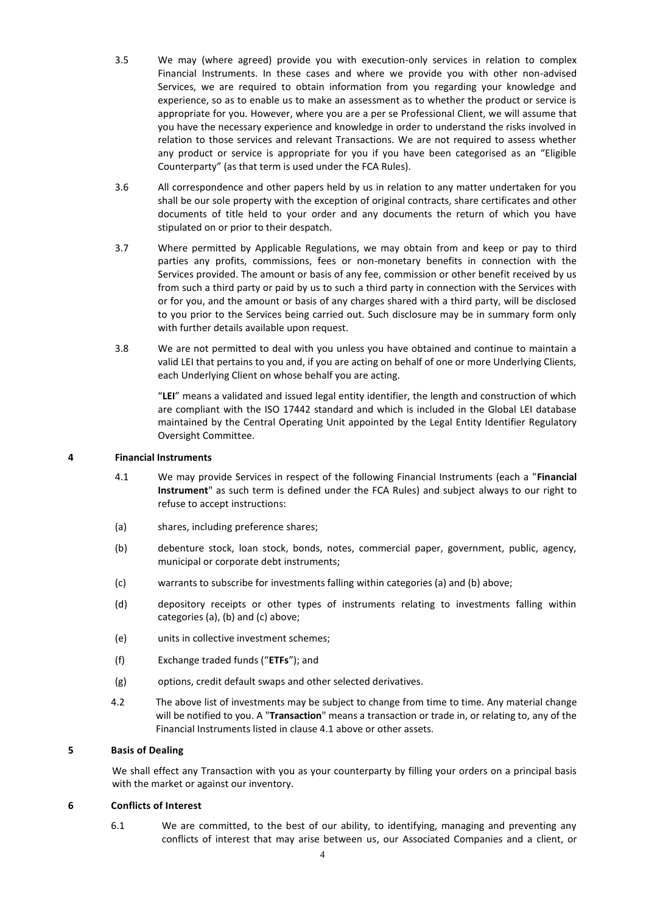- 3.5 We may (where agreed) provide you with execution-only services in relation to complex Financial Instruments. In these cases and where we provide you with other non-advised Services, we are required to obtain information from you regarding your knowledge and experience, so as to enable us to make an assessment as to whether the product or service is appropriate for you. However, where you are a per se Professional Client, we will assume that you have the necessary experience and knowledge in order to understand the risks involved in relation to those services and relevant Transactions. We are not required to assess whether any product or service is appropriate for you if you have been categorised as an "Eligible Counterparty" (as that term is used under the FCA Rules).
- 3.6 All correspondence and other papers held by us in relation to any matter undertaken for you shall be our sole property with the exception of original contracts, share certificates and other documents of title held to your order and any documents the return of which you have stipulated on or prior to their despatch.
- 3.7 Where permitted by Applicable Regulations, we may obtain from and keep or pay to third parties any profits, commissions, fees or non-monetary benefits in connection with the Services provided. The amount or basis of any fee, commission or other benefit received by us from such a third party or paid by us to such a third party in connection with the Services with or for you, and the amount or basis of any charges shared with a third party, will be disclosed to you prior to the Services being carried out. Such disclosure may be in summary form only with further details available upon request.
- 3.8 We are not permitted to deal with you unless you have obtained and continue to maintain a valid LEI that pertains to you and, if you are acting on behalf of one or more Underlying Clients, each Underlying Client on whose behalf you are acting.

"**LEI**" means a validated and issued legal entity identifier, the length and construction of which are compliant with the ISO 17442 standard and which is included in the Global LEI database maintained by the Central Operating Unit appointed by the Legal Entity Identifier Regulatory Oversight Committee.

## **4 Financial Instruments**

- 4.1 We may provide Services in respect of the following Financial Instruments (each a "**Financial Instrument**" as such term is defined under the FCA Rules) and subject always to our right to refuse to accept instructions:
- (a) shares, including preference shares;
- (b) debenture stock, loan stock, bonds, notes, commercial paper, government, public, agency, municipal or corporate debt instruments;
- (c) warrants to subscribe for investments falling within categories (a) and (b) above;
- (d) depository receipts or other types of instruments relating to investments falling within categories (a), (b) and (c) above;
- (e) units in collective investment schemes;
- (f) Exchange traded funds ("**ETFs**"); and
- (g) options, credit default swaps and other selected derivatives.
- 4.2 The above list of investments may be subject to change from time to time. Any material change will be notified to you. A "**Transaction**" means a transaction or trade in, or relating to, any of the Financial Instruments listed in clause 4.1 above or other assets.

#### **5 Basis of Dealing**

We shall effect any Transaction with you as your counterparty by filling your orders on a principal basis with the market or against our inventory.

#### **6 Conflicts of Interest**

6.1 We are committed, to the best of our ability, to identifying, managing and preventing any conflicts of interest that may arise between us, our Associated Companies and a client, or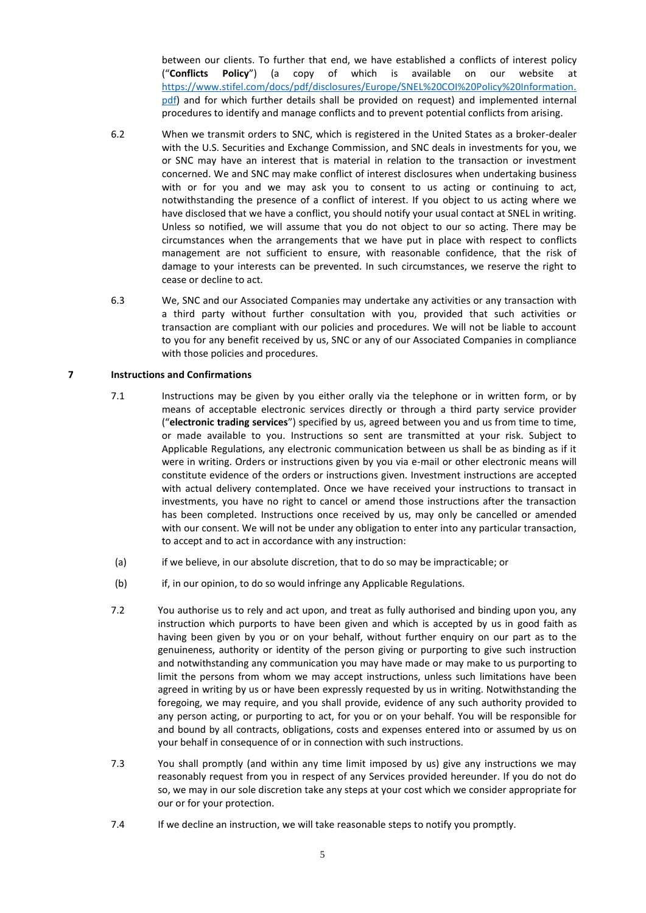between our clients. To further that end, we have established a conflicts of interest policy ("**Conflicts Policy**") (a copy of which is available on our website at [https://www.stifel.com/docs/pdf/disclosures/Europe/SNEL%20COI%20Policy%20Information.](https://www.stifel.com/docs/pdf/disclosures/Europe/SNEL%20COI%20Policy%20Information.pdf) [pdf\)](https://www.stifel.com/docs/pdf/disclosures/Europe/SNEL%20COI%20Policy%20Information.pdf) and for which further details shall be provided on request) and implemented internal procedures to identify and manage conflicts and to prevent potential conflicts from arising.

- 6.2 When we transmit orders to SNC, which is registered in the United States as a broker-dealer with the U.S. Securities and Exchange Commission, and SNC deals in investments for you, we or SNC may have an interest that is material in relation to the transaction or investment concerned. We and SNC may make conflict of interest disclosures when undertaking business with or for you and we may ask you to consent to us acting or continuing to act, notwithstanding the presence of a conflict of interest. If you object to us acting where we have disclosed that we have a conflict, you should notify your usual contact at SNEL in writing. Unless so notified, we will assume that you do not object to our so acting. There may be circumstances when the arrangements that we have put in place with respect to conflicts management are not sufficient to ensure, with reasonable confidence, that the risk of damage to your interests can be prevented. In such circumstances, we reserve the right to cease or decline to act.
- 6.3 We, SNC and our Associated Companies may undertake any activities or any transaction with a third party without further consultation with you, provided that such activities or transaction are compliant with our policies and procedures. We will not be liable to account to you for any benefit received by us, SNC or any of our Associated Companies in compliance with those policies and procedures.

## **7 Instructions and Confirmations**

- 7.1 Instructions may be given by you either orally via the telephone or in written form, or by means of acceptable electronic services directly or through a third party service provider ("**electronic trading services**") specified by us, agreed between you and us from time to time, or made available to you. Instructions so sent are transmitted at your risk. Subject to Applicable Regulations, any electronic communication between us shall be as binding as if it were in writing. Orders or instructions given by you via e-mail or other electronic means will constitute evidence of the orders or instructions given. Investment instructions are accepted with actual delivery contemplated. Once we have received your instructions to transact in investments, you have no right to cancel or amend those instructions after the transaction has been completed. Instructions once received by us, may only be cancelled or amended with our consent. We will not be under any obligation to enter into any particular transaction, to accept and to act in accordance with any instruction:
- (a) if we believe, in our absolute discretion, that to do so may be impracticable; or
- (b) if, in our opinion, to do so would infringe any Applicable Regulations.
- 7.2 You authorise us to rely and act upon, and treat as fully authorised and binding upon you, any instruction which purports to have been given and which is accepted by us in good faith as having been given by you or on your behalf, without further enquiry on our part as to the genuineness, authority or identity of the person giving or purporting to give such instruction and notwithstanding any communication you may have made or may make to us purporting to limit the persons from whom we may accept instructions, unless such limitations have been agreed in writing by us or have been expressly requested by us in writing. Notwithstanding the foregoing, we may require, and you shall provide, evidence of any such authority provided to any person acting, or purporting to act, for you or on your behalf. You will be responsible for and bound by all contracts, obligations, costs and expenses entered into or assumed by us on your behalf in consequence of or in connection with such instructions.
- 7.3 You shall promptly (and within any time limit imposed by us) give any instructions we may reasonably request from you in respect of any Services provided hereunder. If you do not do so, we may in our sole discretion take any steps at your cost which we consider appropriate for our or for your protection.
- 7.4 If we decline an instruction, we will take reasonable steps to notify you promptly.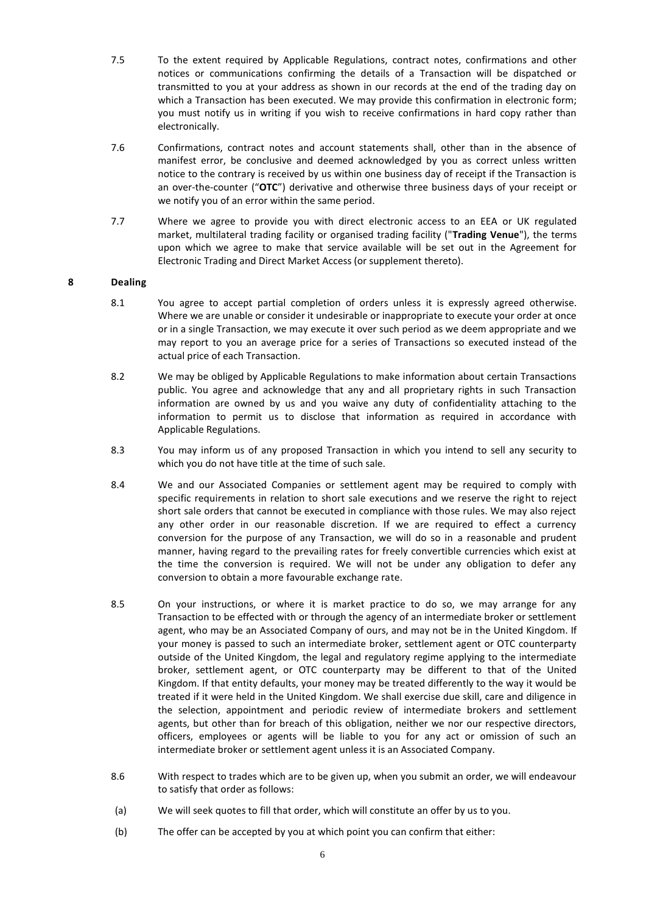- 7.5 To the extent required by Applicable Regulations, contract notes, confirmations and other notices or communications confirming the details of a Transaction will be dispatched or transmitted to you at your address as shown in our records at the end of the trading day on which a Transaction has been executed. We may provide this confirmation in electronic form; you must notify us in writing if you wish to receive confirmations in hard copy rather than electronically.
- 7.6 Confirmations, contract notes and account statements shall, other than in the absence of manifest error, be conclusive and deemed acknowledged by you as correct unless written notice to the contrary is received by us within one business day of receipt if the Transaction is an over-the-counter ("**OTC**") derivative and otherwise three business days of your receipt or we notify you of an error within the same period.
- 7.7 Where we agree to provide you with direct electronic access to an EEA or UK regulated market, multilateral trading facility or organised trading facility ("**Trading Venue**"), the terms upon which we agree to make that service available will be set out in the Agreement for Electronic Trading and Direct Market Access (or supplement thereto).

## **8 Dealing**

- 8.1 You agree to accept partial completion of orders unless it is expressly agreed otherwise. Where we are unable or consider it undesirable or inappropriate to execute your order at once or in a single Transaction, we may execute it over such period as we deem appropriate and we may report to you an average price for a series of Transactions so executed instead of the actual price of each Transaction.
- 8.2 We may be obliged by Applicable Regulations to make information about certain Transactions public. You agree and acknowledge that any and all proprietary rights in such Transaction information are owned by us and you waive any duty of confidentiality attaching to the information to permit us to disclose that information as required in accordance with Applicable Regulations.
- 8.3 You may inform us of any proposed Transaction in which you intend to sell any security to which you do not have title at the time of such sale.
- 8.4 We and our Associated Companies or settlement agent may be required to comply with specific requirements in relation to short sale executions and we reserve the right to reject short sale orders that cannot be executed in compliance with those rules. We may also reject any other order in our reasonable discretion. If we are required to effect a currency conversion for the purpose of any Transaction, we will do so in a reasonable and prudent manner, having regard to the prevailing rates for freely convertible currencies which exist at the time the conversion is required. We will not be under any obligation to defer any conversion to obtain a more favourable exchange rate.
- 8.5 On your instructions, or where it is market practice to do so, we may arrange for any Transaction to be effected with or through the agency of an intermediate broker or settlement agent, who may be an Associated Company of ours, and may not be in the United Kingdom. If your money is passed to such an intermediate broker, settlement agent or OTC counterparty outside of the United Kingdom, the legal and regulatory regime applying to the intermediate broker, settlement agent, or OTC counterparty may be different to that of the United Kingdom. If that entity defaults, your money may be treated differently to the way it would be treated if it were held in the United Kingdom. We shall exercise due skill, care and diligence in the selection, appointment and periodic review of intermediate brokers and settlement agents, but other than for breach of this obligation, neither we nor our respective directors, officers, employees or agents will be liable to you for any act or omission of such an intermediate broker or settlement agent unless it is an Associated Company.
- 8.6 With respect to trades which are to be given up, when you submit an order, we will endeavour to satisfy that order as follows:
- (a) We will seek quotes to fill that order, which will constitute an offer by us to you.
- (b) The offer can be accepted by you at which point you can confirm that either: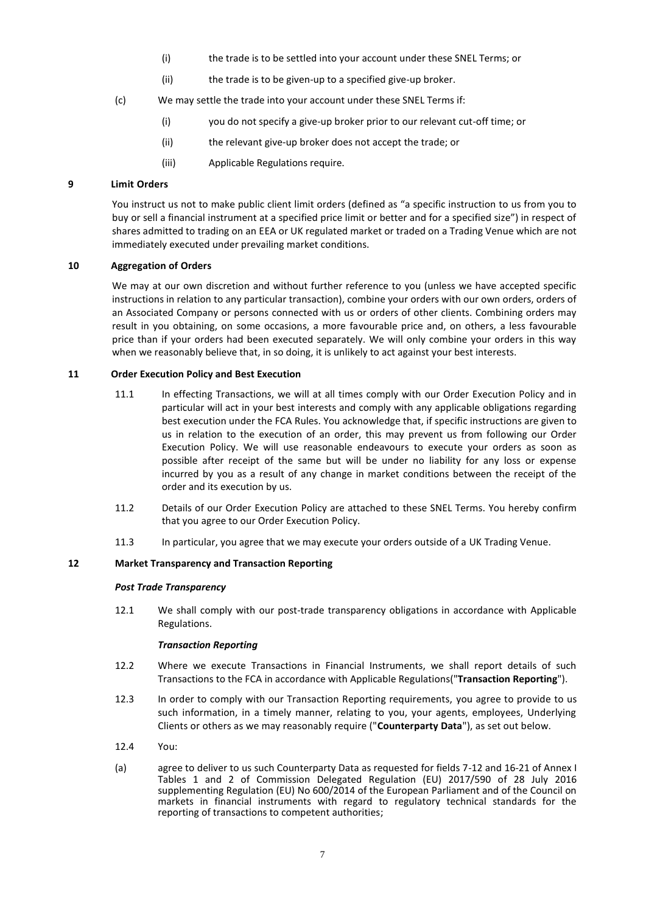- (i) the trade is to be settled into your account under these SNEL Terms; or
- (ii) the trade is to be given-up to a specified give-up broker.
- (c) We may settle the trade into your account under these SNEL Terms if:
	- (i) you do not specify a give-up broker prior to our relevant cut-off time; or
	- (ii) the relevant give-up broker does not accept the trade; or
	- (iii) Applicable Regulations require.

# **9 Limit Orders**

You instruct us not to make public client limit orders (defined as "a specific instruction to us from you to buy or sell a financial instrument at a specified price limit or better and for a specified size") in respect of shares admitted to trading on an EEA or UK regulated market or traded on a Trading Venue which are not immediately executed under prevailing market conditions.

## **10 Aggregation of Orders**

We may at our own discretion and without further reference to you (unless we have accepted specific instructions in relation to any particular transaction), combine your orders with our own orders, orders of an Associated Company or persons connected with us or orders of other clients. Combining orders may result in you obtaining, on some occasions, a more favourable price and, on others, a less favourable price than if your orders had been executed separately. We will only combine your orders in this way when we reasonably believe that, in so doing, it is unlikely to act against your best interests.

#### **11 Order Execution Policy and Best Execution**

- 11.1 In effecting Transactions, we will at all times comply with our Order Execution Policy and in particular will act in your best interests and comply with any applicable obligations regarding best execution under the FCA Rules. You acknowledge that, if specific instructions are given to us in relation to the execution of an order, this may prevent us from following our Order Execution Policy. We will use reasonable endeavours to execute your orders as soon as possible after receipt of the same but will be under no liability for any loss or expense incurred by you as a result of any change in market conditions between the receipt of the order and its execution by us.
- 11.2 Details of our Order Execution Policy are attached to these SNEL Terms. You hereby confirm that you agree to our Order Execution Policy.
- 11.3 In particular, you agree that we may execute your orders outside of a UK Trading Venue.

## **12 Market Transparency and Transaction Reporting**

#### *Post Trade Transparency*

12.1 We shall comply with our post-trade transparency obligations in accordance with Applicable Regulations.

#### *Transaction Reporting*

- 12.2 Where we execute Transactions in Financial Instruments, we shall report details of such Transactions to the FCA in accordance with Applicable Regulations("**Transaction Reporting**").
- 12.3 In order to comply with our Transaction Reporting requirements, you agree to provide to us such information, in a timely manner, relating to you, your agents, employees, Underlying Clients or others as we may reasonably require ("**Counterparty Data**"), as set out below.
- 12.4 You:
- (a) agree to deliver to us such Counterparty Data as requested for fields 7-12 and 16-21 of Annex I Tables 1 and 2 of Commission Delegated Regulation (EU) 2017/590 of 28 July 2016 supplementing Regulation (EU) No 600/2014 of the European Parliament and of the Council on markets in financial instruments with regard to regulatory technical standards for the reporting of transactions to competent authorities;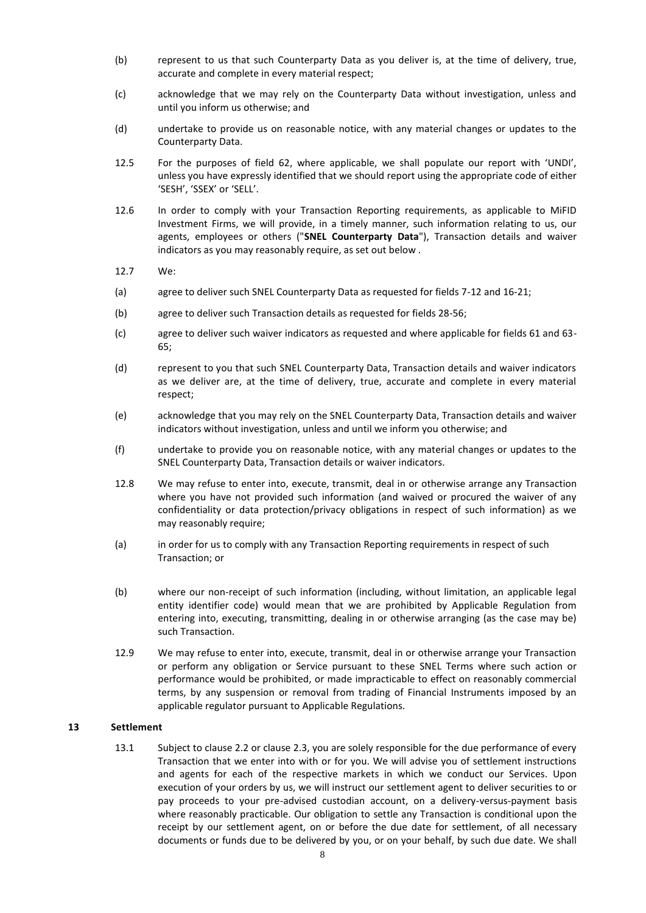- (b) represent to us that such Counterparty Data as you deliver is, at the time of delivery, true, accurate and complete in every material respect;
- (c) acknowledge that we may rely on the Counterparty Data without investigation, unless and until you inform us otherwise; and
- (d) undertake to provide us on reasonable notice, with any material changes or updates to the Counterparty Data.
- 12.5 For the purposes of field 62, where applicable, we shall populate our report with 'UNDI', unless you have expressly identified that we should report using the appropriate code of either 'SESH', 'SSEX' or 'SELL'.
- 12.6 In order to comply with your Transaction Reporting requirements, as applicable to MiFID Investment Firms, we will provide, in a timely manner, such information relating to us, our agents, employees or others ("**SNEL Counterparty Data**"), Transaction details and waiver indicators as you may reasonably require, as set out below .
- 12.7 We:
- (a) agree to deliver such SNEL Counterparty Data as requested for fields 7-12 and 16-21;
- (b) agree to deliver such Transaction details as requested for fields 28-56;
- (c) agree to deliver such waiver indicators as requested and where applicable for fields 61 and 63- 65;
- (d) represent to you that such SNEL Counterparty Data, Transaction details and waiver indicators as we deliver are, at the time of delivery, true, accurate and complete in every material respect;
- (e) acknowledge that you may rely on the SNEL Counterparty Data, Transaction details and waiver indicators without investigation, unless and until we inform you otherwise; and
- (f) undertake to provide you on reasonable notice, with any material changes or updates to the SNEL Counterparty Data, Transaction details or waiver indicators.
- 12.8 We may refuse to enter into, execute, transmit, deal in or otherwise arrange any Transaction where you have not provided such information (and waived or procured the waiver of any confidentiality or data protection/privacy obligations in respect of such information) as we may reasonably require;
- (a) in order for us to comply with any Transaction Reporting requirements in respect of such Transaction; or
- (b) where our non-receipt of such information (including, without limitation, an applicable legal entity identifier code) would mean that we are prohibited by Applicable Regulation from entering into, executing, transmitting, dealing in or otherwise arranging (as the case may be) such Transaction.
- 12.9 We may refuse to enter into, execute, transmit, deal in or otherwise arrange your Transaction or perform any obligation or Service pursuant to these SNEL Terms where such action or performance would be prohibited, or made impracticable to effect on reasonably commercial terms, by any suspension or removal from trading of Financial Instruments imposed by an applicable regulator pursuant to Applicable Regulations.

#### **13 Settlement**

13.1 Subject to clause 2.2 or clause 2.3, you are solely responsible for the due performance of every Transaction that we enter into with or for you. We will advise you of settlement instructions and agents for each of the respective markets in which we conduct our Services. Upon execution of your orders by us, we will instruct our settlement agent to deliver securities to or pay proceeds to your pre-advised custodian account, on a delivery-versus-payment basis where reasonably practicable. Our obligation to settle any Transaction is conditional upon the receipt by our settlement agent, on or before the due date for settlement, of all necessary documents or funds due to be delivered by you, or on your behalf, by such due date. We shall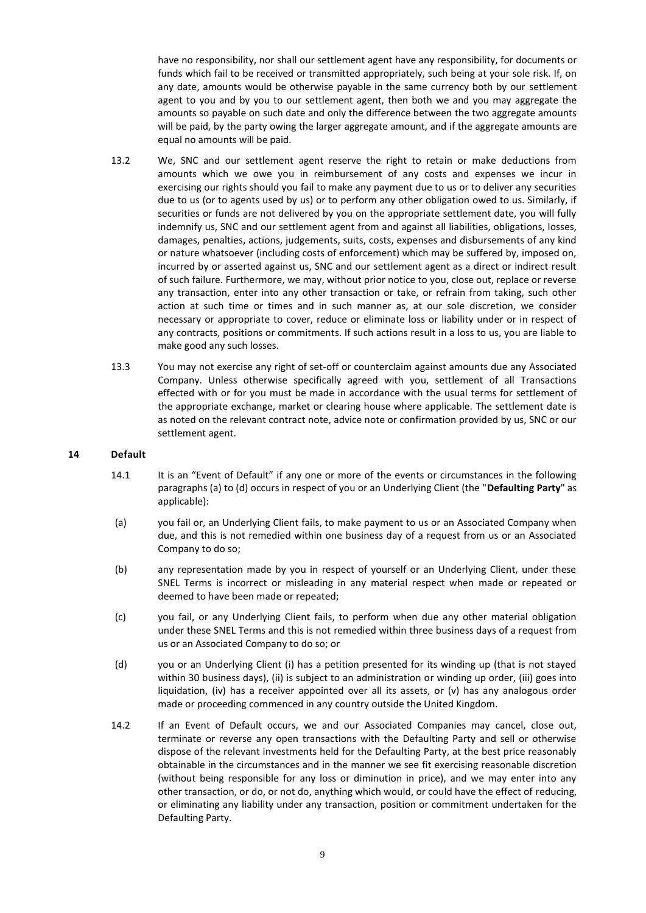have no responsibility, nor shall our settlement agent have any responsibility, for documents or funds which fail to be received or transmitted appropriately, such being at your sole risk. If, on any date, amounts would be otherwise payable in the same currency both by our settlement agent to you and by you to our settlement agent, then both we and you may aggregate the amounts so payable on such date and only the difference between the two aggregate amounts will be paid, by the party owing the larger aggregate amount, and if the aggregate amounts are equal no amounts will be paid.

- 13.2 We, SNC and our settlement agent reserve the right to retain or make deductions from amounts which we owe you in reimbursement of any costs and expenses we incur in exercising our rights should you fail to make any payment due to us or to deliver any securities due to us (or to agents used by us) or to perform any other obligation owed to us. Similarly, if securities or funds are not delivered by you on the appropriate settlement date, you will fully indemnify us, SNC and our settlement agent from and against all liabilities, obligations, losses, damages, penalties, actions, judgements, suits, costs, expenses and disbursements of any kind or nature whatsoever (including costs of enforcement) which may be suffered by, imposed on, incurred by or asserted against us, SNC and our settlement agent as a direct or indirect result of such failure. Furthermore, we may, without prior notice to you, close out, replace or reverse any transaction, enter into any other transaction or take, or refrain from taking, such other action at such time or times and in such manner as, at our sole discretion, we consider necessary or appropriate to cover, reduce or eliminate loss or liability under or in respect of any contracts, positions or commitments. If such actions result in a loss to us, you are liable to make good any such losses.
- 13.3 You may not exercise any right of set-off or counterclaim against amounts due any Associated Company. Unless otherwise specifically agreed with you, settlement of all Transactions effected with or for you must be made in accordance with the usual terms for settlement of the appropriate exchange, market or clearing house where applicable. The settlement date is as noted on the relevant contract note, advice note or confirmation provided by us, SNC or our settlement agent.

#### **14 Default**

- 14.1 It is an "Event of Default" if any one or more of the events or circumstances in the following paragraphs (a) to (d) occurs in respect of you or an Underlying Client (the "**Defaulting Party**" as applicable):
- (a) you fail or, an Underlying Client fails, to make payment to us or an Associated Company when due, and this is not remedied within one business day of a request from us or an Associated Company to do so;
- (b) any representation made by you in respect of yourself or an Underlying Client, under these SNEL Terms is incorrect or misleading in any material respect when made or repeated or deemed to have been made or repeated;
- (c) you fail, or any Underlying Client fails, to perform when due any other material obligation under these SNEL Terms and this is not remedied within three business days of a request from us or an Associated Company to do so; or
- (d) you or an Underlying Client (i) has a petition presented for its winding up (that is not stayed within 30 business days), (ii) is subject to an administration or winding up order, (iii) goes into liquidation, (iv) has a receiver appointed over all its assets, or (v) has any analogous order made or proceeding commenced in any country outside the United Kingdom.
- 14.2 If an Event of Default occurs, we and our Associated Companies may cancel, close out, terminate or reverse any open transactions with the Defaulting Party and sell or otherwise dispose of the relevant investments held for the Defaulting Party, at the best price reasonably obtainable in the circumstances and in the manner we see fit exercising reasonable discretion (without being responsible for any loss or diminution in price), and we may enter into any other transaction, or do, or not do, anything which would, or could have the effect of reducing, or eliminating any liability under any transaction, position or commitment undertaken for the Defaulting Party.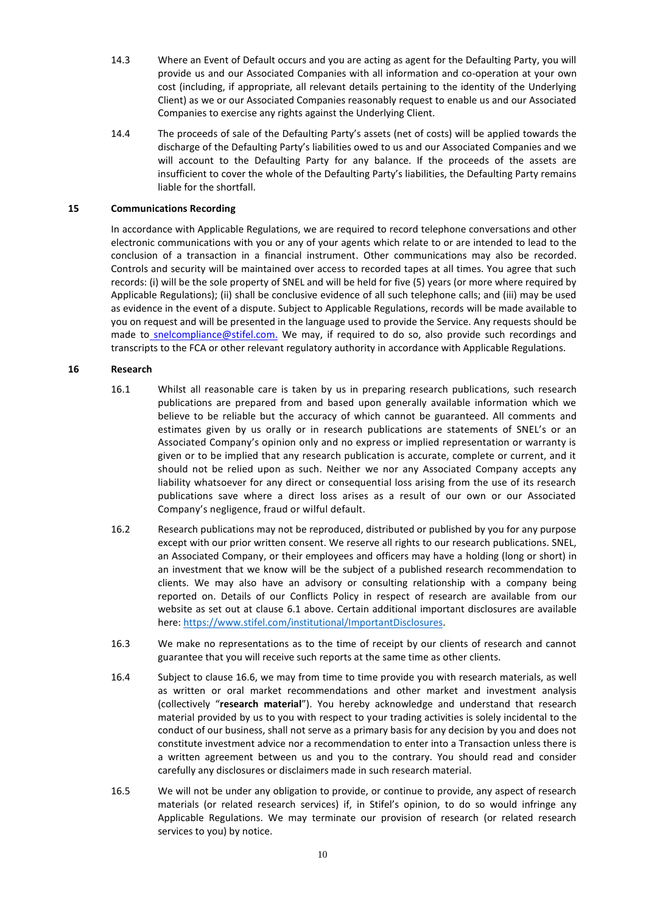- 14.3 Where an Event of Default occurs and you are acting as agent for the Defaulting Party, you will provide us and our Associated Companies with all information and co-operation at your own cost (including, if appropriate, all relevant details pertaining to the identity of the Underlying Client) as we or our Associated Companies reasonably request to enable us and our Associated Companies to exercise any rights against the Underlying Client.
- 14.4 The proceeds of sale of the Defaulting Party's assets (net of costs) will be applied towards the discharge of the Defaulting Party's liabilities owed to us and our Associated Companies and we will account to the Defaulting Party for any balance. If the proceeds of the assets are insufficient to cover the whole of the Defaulting Party's liabilities, the Defaulting Party remains liable for the shortfall.

#### **15 Communications Recording**

In accordance with Applicable Regulations, we are required to record telephone conversations and other electronic communications with you or any of your agents which relate to or are intended to lead to the conclusion of a transaction in a financial instrument. Other communications may also be recorded. Controls and security will be maintained over access to recorded tapes at all times. You agree that such records: (i) will be the sole property of SNEL and will be held for five (5) years (or more where required by Applicable Regulations); (ii) shall be conclusive evidence of all such telephone calls; and (iii) may be used as evidence in the event of a dispute. Subject to Applicable Regulations, records will be made available to you on request and will be presented in the language used to provide the Service. Any requests should be made to [snelcompliance@stifel.com.](mailto:snelcompliance@stifel.com) We may, if required to do so, also provide such recordings and transcripts to the FCA or other relevant regulatory authority in accordance with Applicable Regulations.

## **16 Research**

- 16.1 Whilst all reasonable care is taken by us in preparing research publications, such research publications are prepared from and based upon generally available information which we believe to be reliable but the accuracy of which cannot be guaranteed. All comments and estimates given by us orally or in research publications are statements of SNEL's or an Associated Company's opinion only and no express or implied representation or warranty is given or to be implied that any research publication is accurate, complete or current, and it should not be relied upon as such. Neither we nor any Associated Company accepts any liability whatsoever for any direct or consequential loss arising from the use of its research publications save where a direct loss arises as a result of our own or our Associated Company's negligence, fraud or wilful default.
- 16.2 Research publications may not be reproduced, distributed or published by you for any purpose except with our prior written consent. We reserve all rights to our research publications. SNEL, an Associated Company, or their employees and officers may have a holding (long or short) in an investment that we know will be the subject of a published research recommendation to clients. We may also have an advisory or consulting relationship with a company being reported on. Details of our Conflicts Policy in respect of research are available from our website as set out at clause 6.1 above. Certain additional important disclosures are available here: [https://www.stifel.com/institutional/ImportantDisclosures.](https://www.stifel.com/institutional/ImportantDisclosures)
- 16.3 We make no representations as to the time of receipt by our clients of research and cannot guarantee that you will receive such reports at the same time as other clients.
- 16.4 Subject to clause 16.6, we may from time to time provide you with research materials, as well as written or oral market recommendations and other market and investment analysis (collectively "**research material**"). You hereby acknowledge and understand that research material provided by us to you with respect to your trading activities is solely incidental to the conduct of our business, shall not serve as a primary basis for any decision by you and does not constitute investment advice nor a recommendation to enter into a Transaction unless there is a written agreement between us and you to the contrary. You should read and consider carefully any disclosures or disclaimers made in such research material.
- 16.5 We will not be under any obligation to provide, or continue to provide, any aspect of research materials (or related research services) if, in Stifel's opinion, to do so would infringe any Applicable Regulations. We may terminate our provision of research (or related research services to you) by notice.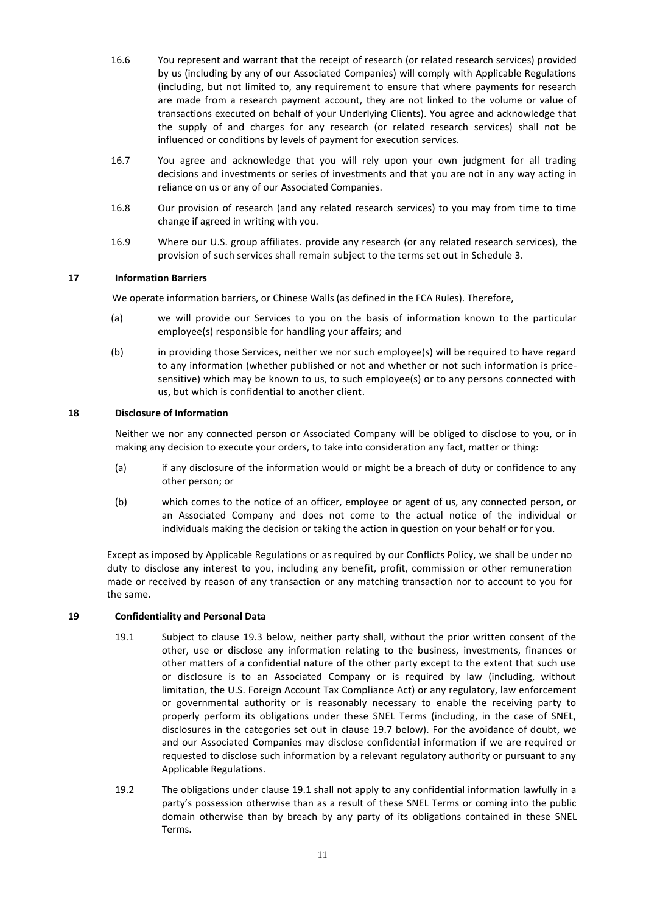- 16.6 You represent and warrant that the receipt of research (or related research services) provided by us (including by any of our Associated Companies) will comply with Applicable Regulations (including, but not limited to, any requirement to ensure that where payments for research are made from a research payment account, they are not linked to the volume or value of transactions executed on behalf of your Underlying Clients). You agree and acknowledge that the supply of and charges for any research (or related research services) shall not be influenced or conditions by levels of payment for execution services.
- 16.7 You agree and acknowledge that you will rely upon your own judgment for all trading decisions and investments or series of investments and that you are not in any way acting in reliance on us or any of our Associated Companies.
- 16.8 Our provision of research (and any related research services) to you may from time to time change if agreed in writing with you.
- 16.9 Where our U.S. group affiliates. provide any research (or any related research services), the provision of such services shall remain subject to the terms set out in Schedule 3.

# **17 Information Barriers**

We operate information barriers, or Chinese Walls (as defined in the FCA Rules). Therefore,

- (a) we will provide our Services to you on the basis of information known to the particular employee(s) responsible for handling your affairs; and
- (b) in providing those Services, neither we nor such employee(s) will be required to have regard to any information (whether published or not and whether or not such information is pricesensitive) which may be known to us, to such employee(s) or to any persons connected with us, but which is confidential to another client.

# **18 Disclosure of Information**

Neither we nor any connected person or Associated Company will be obliged to disclose to you, or in making any decision to execute your orders, to take into consideration any fact, matter or thing:

- (a) if any disclosure of the information would or might be a breach of duty or confidence to any other person; or
- (b) which comes to the notice of an officer, employee or agent of us, any connected person, or an Associated Company and does not come to the actual notice of the individual or individuals making the decision or taking the action in question on your behalf or for you.

Except as imposed by Applicable Regulations or as required by our Conflicts Policy, we shall be under no duty to disclose any interest to you, including any benefit, profit, commission or other remuneration made or received by reason of any transaction or any matching transaction nor to account to you for the same.

## **19 Confidentiality and Personal Data**

- 19.1 Subject to clause 19.3 below, neither party shall, without the prior written consent of the other, use or disclose any information relating to the business, investments, finances or other matters of a confidential nature of the other party except to the extent that such use or disclosure is to an Associated Company or is required by law (including, without limitation, the U.S. Foreign Account Tax Compliance Act) or any regulatory, law enforcement or governmental authority or is reasonably necessary to enable the receiving party to properly perform its obligations under these SNEL Terms (including, in the case of SNEL, disclosures in the categories set out in clause 19.7 below). For the avoidance of doubt, we and our Associated Companies may disclose confidential information if we are required or requested to disclose such information by a relevant regulatory authority or pursuant to any Applicable Regulations.
- 19.2 The obligations under clause 19.1 shall not apply to any confidential information lawfully in a party's possession otherwise than as a result of these SNEL Terms or coming into the public domain otherwise than by breach by any party of its obligations contained in these SNEL Terms.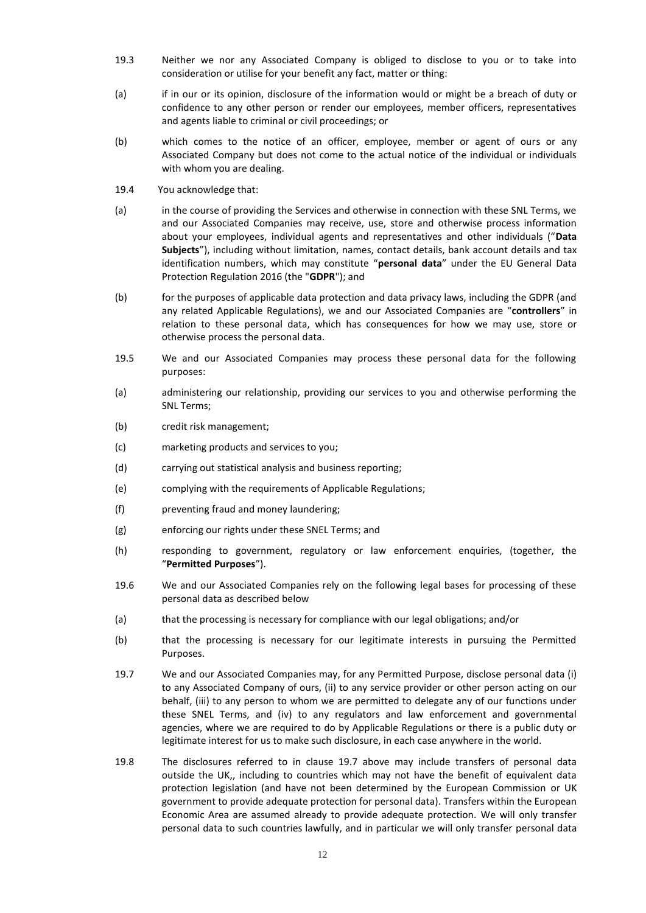- 19.3 Neither we nor any Associated Company is obliged to disclose to you or to take into consideration or utilise for your benefit any fact, matter or thing:
- (a) if in our or its opinion, disclosure of the information would or might be a breach of duty or confidence to any other person or render our employees, member officers, representatives and agents liable to criminal or civil proceedings; or
- (b) which comes to the notice of an officer, employee, member or agent of ours or any Associated Company but does not come to the actual notice of the individual or individuals with whom you are dealing.
- 19.4 You acknowledge that:
- (a) in the course of providing the Services and otherwise in connection with these SNL Terms, we and our Associated Companies may receive, use, store and otherwise process information about your employees, individual agents and representatives and other individuals ("**Data Subjects**"), including without limitation, names, contact details, bank account details and tax identification numbers, which may constitute "**personal data**" under the EU General Data Protection Regulation 2016 (the "**GDPR**"); and
- (b) for the purposes of applicable data protection and data privacy laws, including the GDPR (and any related Applicable Regulations), we and our Associated Companies are "**controllers**" in relation to these personal data, which has consequences for how we may use, store or otherwise process the personal data.
- 19.5 We and our Associated Companies may process these personal data for the following purposes:
- (a) administering our relationship, providing our services to you and otherwise performing the SNL Terms;
- (b) credit risk management;
- (c) marketing products and services to you;
- (d) carrying out statistical analysis and business reporting;
- (e) complying with the requirements of Applicable Regulations;
- (f) preventing fraud and money laundering;
- (g) enforcing our rights under these SNEL Terms; and
- (h) responding to government, regulatory or law enforcement enquiries, (together, the "**Permitted Purposes**").
- 19.6 We and our Associated Companies rely on the following legal bases for processing of these personal data as described below
- (a) that the processing is necessary for compliance with our legal obligations; and/or
- (b) that the processing is necessary for our legitimate interests in pursuing the Permitted Purposes.
- 19.7 We and our Associated Companies may, for any Permitted Purpose, disclose personal data (i) to any Associated Company of ours, (ii) to any service provider or other person acting on our behalf, (iii) to any person to whom we are permitted to delegate any of our functions under these SNEL Terms, and (iv) to any regulators and law enforcement and governmental agencies, where we are required to do by Applicable Regulations or there is a public duty or legitimate interest for us to make such disclosure, in each case anywhere in the world.
- 19.8 The disclosures referred to in clause 19.7 above may include transfers of personal data outside the UK,, including to countries which may not have the benefit of equivalent data protection legislation (and have not been determined by the European Commission or UK government to provide adequate protection for personal data). Transfers within the European Economic Area are assumed already to provide adequate protection. We will only transfer personal data to such countries lawfully, and in particular we will only transfer personal data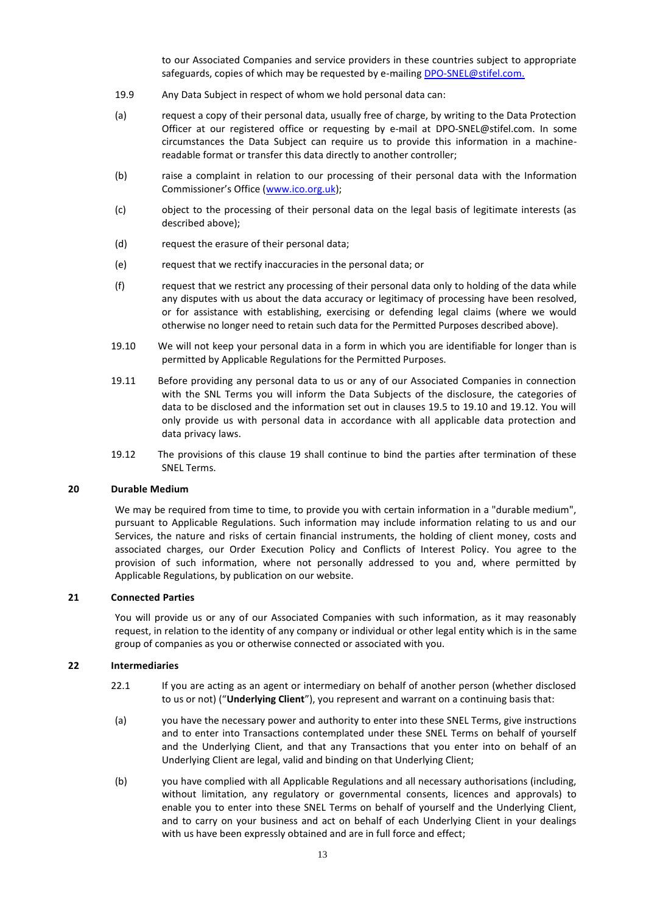to our Associated Companies and service providers in these countries subject to appropriate safeguards, copies of which may be requested by e-mailing [DPO-SNEL@stifel.com.](mailto:DPO-SNEL@stifel.com)

- 19.9 Any Data Subject in respect of whom we hold personal data can:
- (a) request a copy of their personal data, usually free of charge, by writing to the Data Protection Officer at our registered office or requesting by e-mail at [DPO-SNEL@stifel.com.](mailto:DPO-SNEL@stifel.com) In some circumstances the Data Subject can require us to provide this information in a machinereadable format or transfer this data directly to another controller;
- (b) raise a complaint in relation to our processing of their personal data with the Information Commissioner's Office ([www.ico.org.uk\)](http://www.ico.org.uk/);
- (c) object to the processing of their personal data on the legal basis of legitimate interests (as described above);
- (d) request the erasure of their personal data;
- (e) request that we rectify inaccuracies in the personal data; or
- (f) request that we restrict any processing of their personal data only to holding of the data while any disputes with us about the data accuracy or legitimacy of processing have been resolved, or for assistance with establishing, exercising or defending legal claims (where we would otherwise no longer need to retain such data for the Permitted Purposes described above).
- 19.10 We will not keep your personal data in a form in which you are identifiable for longer than is permitted by Applicable Regulations for the Permitted Purposes.
- 19.11 Before providing any personal data to us or any of our Associated Companies in connection with the SNL Terms you will inform the Data Subjects of the disclosure, the categories of data to be disclosed and the information set out in clauses 19.5 to 19.10 and 19.12. You will only provide us with personal data in accordance with all applicable data protection and data privacy laws.
- 19.12 The provisions of this clause 19 shall continue to bind the parties after termination of these SNEL Terms.

#### **20 Durable Medium**

We may be required from time to time, to provide you with certain information in a "durable medium", pursuant to Applicable Regulations. Such information may include information relating to us and our Services, the nature and risks of certain financial instruments, the holding of client money, costs and associated charges, our Order Execution Policy and Conflicts of Interest Policy. You agree to the provision of such information, where not personally addressed to you and, where permitted by Applicable Regulations, by publication on our website.

#### **21 Connected Parties**

You will provide us or any of our Associated Companies with such information, as it may reasonably request, in relation to the identity of any company or individual or other legal entity which is in the same group of companies as you or otherwise connected or associated with you.

#### **22 Intermediaries**

- 22.1 If you are acting as an agent or intermediary on behalf of another person (whether disclosed to us or not) ("**Underlying Client**"), you represent and warrant on a continuing basis that:
- (a) you have the necessary power and authority to enter into these SNEL Terms, give instructions and to enter into Transactions contemplated under these SNEL Terms on behalf of yourself and the Underlying Client, and that any Transactions that you enter into on behalf of an Underlying Client are legal, valid and binding on that Underlying Client;
- (b) you have complied with all Applicable Regulations and all necessary authorisations (including, without limitation, any regulatory or governmental consents, licences and approvals) to enable you to enter into these SNEL Terms on behalf of yourself and the Underlying Client, and to carry on your business and act on behalf of each Underlying Client in your dealings with us have been expressly obtained and are in full force and effect;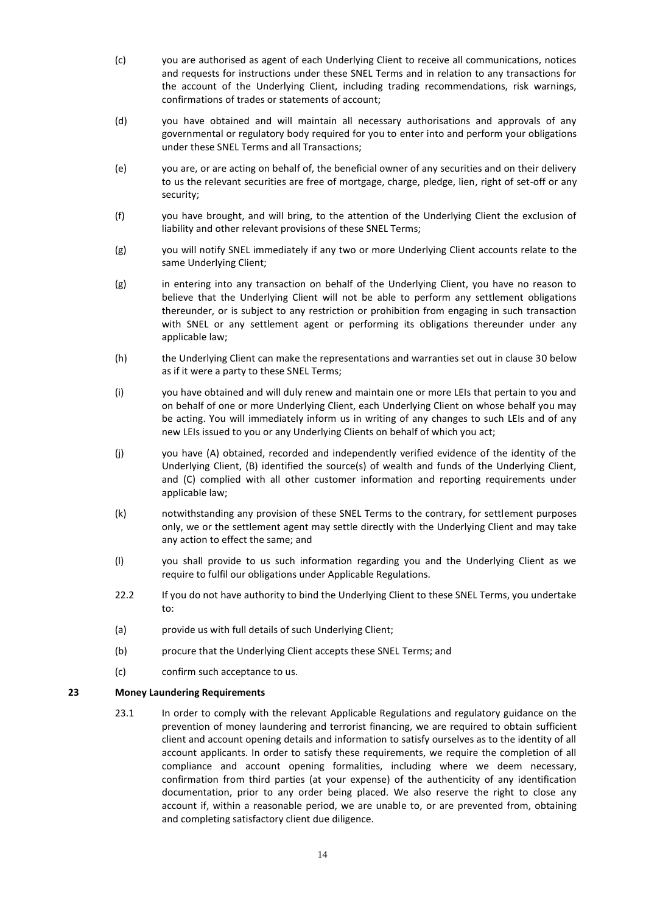- (c) you are authorised as agent of each Underlying Client to receive all communications, notices and requests for instructions under these SNEL Terms and in relation to any transactions for the account of the Underlying Client, including trading recommendations, risk warnings, confirmations of trades or statements of account;
- (d) you have obtained and will maintain all necessary authorisations and approvals of any governmental or regulatory body required for you to enter into and perform your obligations under these SNEL Terms and all Transactions;
- (e) you are, or are acting on behalf of, the beneficial owner of any securities and on their delivery to us the relevant securities are free of mortgage, charge, pledge, lien, right of set-off or any security;
- (f) you have brought, and will bring, to the attention of the Underlying Client the exclusion of liability and other relevant provisions of these SNEL Terms;
- (g) you will notify SNEL immediately if any two or more Underlying Client accounts relate to the same Underlying Client;
- (g) in entering into any transaction on behalf of the Underlying Client, you have no reason to believe that the Underlying Client will not be able to perform any settlement obligations thereunder, or is subject to any restriction or prohibition from engaging in such transaction with SNEL or any settlement agent or performing its obligations thereunder under any applicable law;
- (h) the Underlying Client can make the representations and warranties set out in clause 30 below as if it were a party to these SNEL Terms;
- (i) you have obtained and will duly renew and maintain one or more LEIs that pertain to you and on behalf of one or more Underlying Client, each Underlying Client on whose behalf you may be acting. You will immediately inform us in writing of any changes to such LEIs and of any new LEIs issued to you or any Underlying Clients on behalf of which you act;
- (j) you have (A) obtained, recorded and independently verified evidence of the identity of the Underlying Client, (B) identified the source(s) of wealth and funds of the Underlying Client, and (C) complied with all other customer information and reporting requirements under applicable law;
- (k) notwithstanding any provision of these SNEL Terms to the contrary, for settlement purposes only, we or the settlement agent may settle directly with the Underlying Client and may take any action to effect the same; and
- (l) you shall provide to us such information regarding you and the Underlying Client as we require to fulfil our obligations under Applicable Regulations.
- 22.2 If you do not have authority to bind the Underlying Client to these SNEL Terms, you undertake to:
- (a) provide us with full details of such Underlying Client;
- (b) procure that the Underlying Client accepts these SNEL Terms; and
- (c) confirm such acceptance to us.

## **23 Money Laundering Requirements**

23.1 In order to comply with the relevant Applicable Regulations and regulatory guidance on the prevention of money laundering and terrorist financing, we are required to obtain sufficient client and account opening details and information to satisfy ourselves as to the identity of all account applicants. In order to satisfy these requirements, we require the completion of all compliance and account opening formalities, including where we deem necessary, confirmation from third parties (at your expense) of the authenticity of any identification documentation, prior to any order being placed. We also reserve the right to close any account if, within a reasonable period, we are unable to, or are prevented from, obtaining and completing satisfactory client due diligence.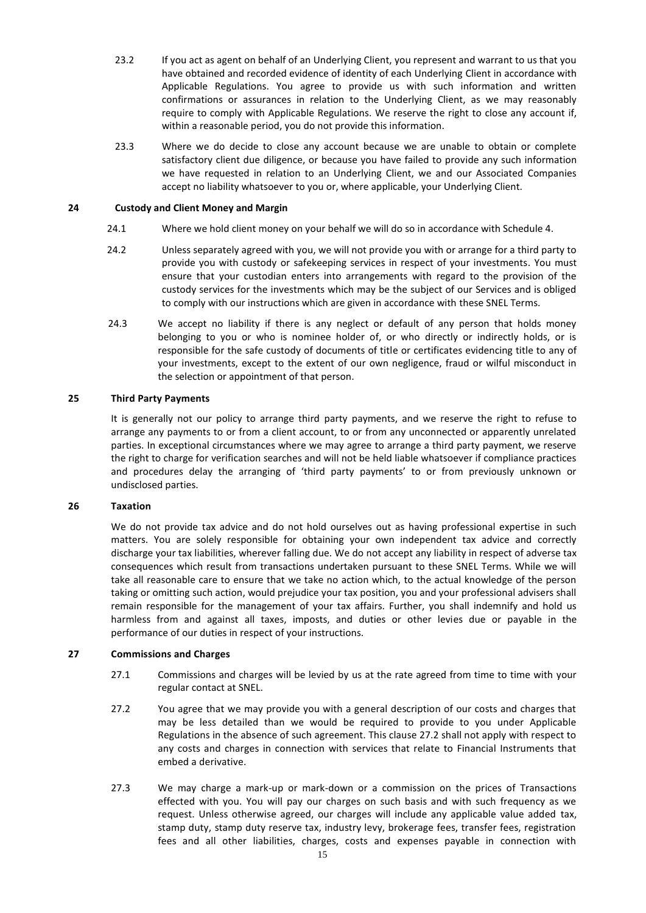- 23.2 If you act as agent on behalf of an Underlying Client, you represent and warrant to us that you have obtained and recorded evidence of identity of each Underlying Client in accordance with Applicable Regulations. You agree to provide us with such information and written confirmations or assurances in relation to the Underlying Client, as we may reasonably require to comply with Applicable Regulations. We reserve the right to close any account if, within a reasonable period, you do not provide this information.
- 23.3 Where we do decide to close any account because we are unable to obtain or complete satisfactory client due diligence, or because you have failed to provide any such information we have requested in relation to an Underlying Client, we and our Associated Companies accept no liability whatsoever to you or, where applicable, your Underlying Client.

#### **24 Custody and Client Money and Margin**

- 24.1 Where we hold client money on your behalf we will do so in accordance with Schedule 4.
- 24.2 Unless separately agreed with you, we will not provide you with or arrange for a third party to provide you with custody or safekeeping services in respect of your investments. You must ensure that your custodian enters into arrangements with regard to the provision of the custody services for the investments which may be the subject of our Services and is obliged to comply with our instructions which are given in accordance with these SNEL Terms.
- 24.3 We accept no liability if there is any neglect or default of any person that holds money belonging to you or who is nominee holder of, or who directly or indirectly holds, or is responsible for the safe custody of documents of title or certificates evidencing title to any of your investments, except to the extent of our own negligence, fraud or wilful misconduct in the selection or appointment of that person.

#### **25 Third Party Payments**

It is generally not our policy to arrange third party payments, and we reserve the right to refuse to arrange any payments to or from a client account, to or from any unconnected or apparently unrelated parties. In exceptional circumstances where we may agree to arrange a third party payment, we reserve the right to charge for verification searches and will not be held liable whatsoever if compliance practices and procedures delay the arranging of 'third party payments' to or from previously unknown or undisclosed parties.

#### **26 Taxation**

We do not provide tax advice and do not hold ourselves out as having professional expertise in such matters. You are solely responsible for obtaining your own independent tax advice and correctly discharge your tax liabilities, wherever falling due. We do not accept any liability in respect of adverse tax consequences which result from transactions undertaken pursuant to these SNEL Terms. While we will take all reasonable care to ensure that we take no action which, to the actual knowledge of the person taking or omitting such action, would prejudice your tax position, you and your professional advisers shall remain responsible for the management of your tax affairs. Further, you shall indemnify and hold us harmless from and against all taxes, imposts, and duties or other levies due or payable in the performance of our duties in respect of your instructions.

## **27 Commissions and Charges**

- 27.1 Commissions and charges will be levied by us at the rate agreed from time to time with your regular contact at SNEL.
- 27.2 You agree that we may provide you with a general description of our costs and charges that may be less detailed than we would be required to provide to you under Applicable Regulations in the absence of such agreement. This clause 27.2 shall not apply with respect to any costs and charges in connection with services that relate to Financial Instruments that embed a derivative.
- 27.3 We may charge a mark-up or mark-down or a commission on the prices of Transactions effected with you. You will pay our charges on such basis and with such frequency as we request. Unless otherwise agreed, our charges will include any applicable value added tax, stamp duty, stamp duty reserve tax, industry levy, brokerage fees, transfer fees, registration fees and all other liabilities, charges, costs and expenses payable in connection with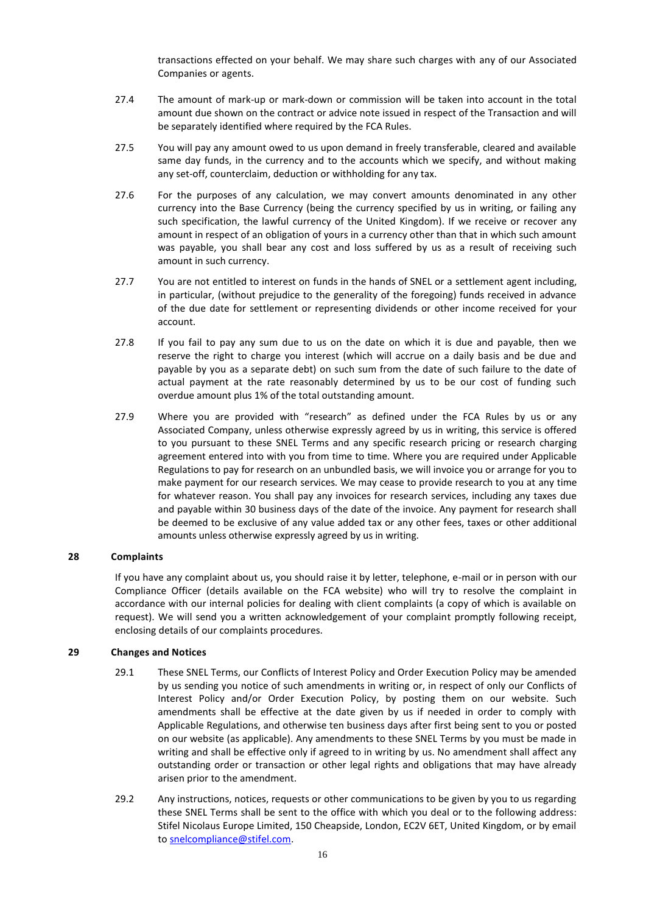transactions effected on your behalf. We may share such charges with any of our Associated Companies or agents.

- 27.4 The amount of mark-up or mark-down or commission will be taken into account in the total amount due shown on the contract or advice note issued in respect of the Transaction and will be separately identified where required by the FCA Rules.
- 27.5 You will pay any amount owed to us upon demand in freely transferable, cleared and available same day funds, in the currency and to the accounts which we specify, and without making any set-off, counterclaim, deduction or withholding for any tax.
- 27.6 For the purposes of any calculation, we may convert amounts denominated in any other currency into the Base Currency (being the currency specified by us in writing, or failing any such specification, the lawful currency of the United Kingdom). If we receive or recover any amount in respect of an obligation of yours in a currency other than that in which such amount was payable, you shall bear any cost and loss suffered by us as a result of receiving such amount in such currency.
- 27.7 You are not entitled to interest on funds in the hands of SNEL or a settlement agent including, in particular, (without prejudice to the generality of the foregoing) funds received in advance of the due date for settlement or representing dividends or other income received for your account.
- 27.8 If you fail to pay any sum due to us on the date on which it is due and payable, then we reserve the right to charge you interest (which will accrue on a daily basis and be due and payable by you as a separate debt) on such sum from the date of such failure to the date of actual payment at the rate reasonably determined by us to be our cost of funding such overdue amount plus 1% of the total outstanding amount.
- 27.9 Where you are provided with "research" as defined under the FCA Rules by us or any Associated Company, unless otherwise expressly agreed by us in writing, this service is offered to you pursuant to these SNEL Terms and any specific research pricing or research charging agreement entered into with you from time to time. Where you are required under Applicable Regulations to pay for research on an unbundled basis, we will invoice you or arrange for you to make payment for our research services. We may cease to provide research to you at any time for whatever reason. You shall pay any invoices for research services, including any taxes due and payable within 30 business days of the date of the invoice. Any payment for research shall be deemed to be exclusive of any value added tax or any other fees, taxes or other additional amounts unless otherwise expressly agreed by us in writing.

## **28 Complaints**

If you have any complaint about us, you should raise it by letter, telephone, e-mail or in person with our Compliance Officer (details available on the FCA website) who will try to resolve the complaint in accordance with our internal policies for dealing with client complaints (a copy of which is available on request). We will send you a written acknowledgement of your complaint promptly following receipt, enclosing details of our complaints procedures.

## **29 Changes and Notices**

- 29.1 These SNEL Terms, our Conflicts of Interest Policy and Order Execution Policy may be amended by us sending you notice of such amendments in writing or, in respect of only our Conflicts of Interest Policy and/or Order Execution Policy, by posting them on our website. Such amendments shall be effective at the date given by us if needed in order to comply with Applicable Regulations, and otherwise ten business days after first being sent to you or posted on our website (as applicable). Any amendments to these SNEL Terms by you must be made in writing and shall be effective only if agreed to in writing by us. No amendment shall affect any outstanding order or transaction or other legal rights and obligations that may have already arisen prior to the amendment.
- 29.2 Any instructions, notices, requests or other communications to be given by you to us regarding these SNEL Terms shall be sent to the office with which you deal or to the following address: Stifel Nicolaus Europe Limited, 150 Cheapside, London, EC2V 6ET, United Kingdom, or by email t[o snelcompliance@stifel.com.](mailto:snelcompliance@stifel.com)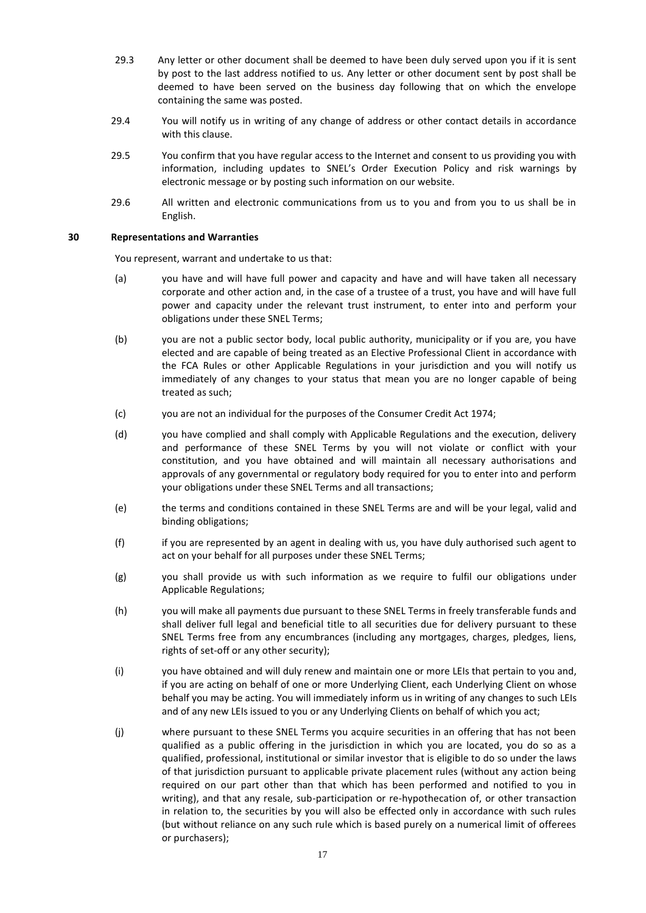- 29.3 Any letter or other document shall be deemed to have been duly served upon you if it is sent by post to the last address notified to us. Any letter or other document sent by post shall be deemed to have been served on the business day following that on which the envelope containing the same was posted.
- 29.4 You will notify us in writing of any change of address or other contact details in accordance with this clause.
- 29.5 You confirm that you have regular access to the Internet and consent to us providing you with information, including updates to SNEL's Order Execution Policy and risk warnings by electronic message or by posting such information on our website.
- 29.6 All written and electronic communications from us to you and from you to us shall be in English.

## **30 Representations and Warranties**

You represent, warrant and undertake to us that:

- (a) you have and will have full power and capacity and have and will have taken all necessary corporate and other action and, in the case of a trustee of a trust, you have and will have full power and capacity under the relevant trust instrument, to enter into and perform your obligations under these SNEL Terms;
- (b) you are not a public sector body, local public authority, municipality or if you are, you have elected and are capable of being treated as an Elective Professional Client in accordance with the FCA Rules or other Applicable Regulations in your jurisdiction and you will notify us immediately of any changes to your status that mean you are no longer capable of being treated as such;
- (c) you are not an individual for the purposes of the Consumer Credit Act 1974;
- (d) you have complied and shall comply with Applicable Regulations and the execution, delivery and performance of these SNEL Terms by you will not violate or conflict with your constitution, and you have obtained and will maintain all necessary authorisations and approvals of any governmental or regulatory body required for you to enter into and perform your obligations under these SNEL Terms and all transactions;
- (e) the terms and conditions contained in these SNEL Terms are and will be your legal, valid and binding obligations;
- (f) if you are represented by an agent in dealing with us, you have duly authorised such agent to act on your behalf for all purposes under these SNEL Terms;
- (g) you shall provide us with such information as we require to fulfil our obligations under Applicable Regulations;
- (h) you will make all payments due pursuant to these SNEL Terms in freely transferable funds and shall deliver full legal and beneficial title to all securities due for delivery pursuant to these SNEL Terms free from any encumbrances (including any mortgages, charges, pledges, liens, rights of set-off or any other security);
- (i) you have obtained and will duly renew and maintain one or more LEIs that pertain to you and, if you are acting on behalf of one or more Underlying Client, each Underlying Client on whose behalf you may be acting. You will immediately inform us in writing of any changes to such LEIs and of any new LEIs issued to you or any Underlying Clients on behalf of which you act;
- (j) where pursuant to these SNEL Terms you acquire securities in an offering that has not been qualified as a public offering in the jurisdiction in which you are located, you do so as a qualified, professional, institutional or similar investor that is eligible to do so under the laws of that jurisdiction pursuant to applicable private placement rules (without any action being required on our part other than that which has been performed and notified to you in writing), and that any resale, sub-participation or re-hypothecation of, or other transaction in relation to, the securities by you will also be effected only in accordance with such rules (but without reliance on any such rule which is based purely on a numerical limit of offerees or purchasers);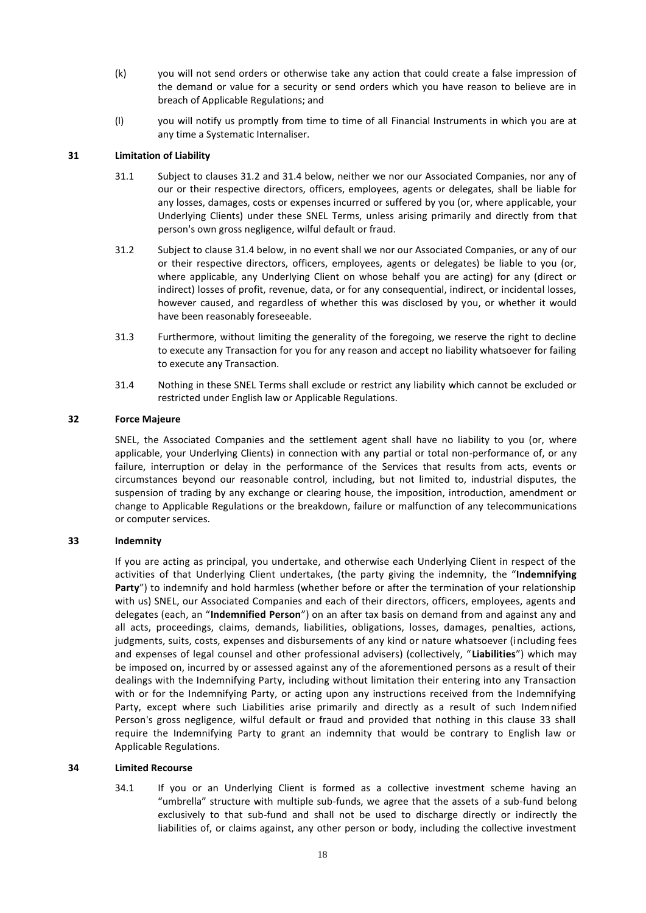- (k) you will not send orders or otherwise take any action that could create a false impression of the demand or value for a security or send orders which you have reason to believe are in breach of Applicable Regulations; and
- (l) you will notify us promptly from time to time of all Financial Instruments in which you are at any time a Systematic Internaliser.

# **31 Limitation of Liability**

- 31.1 Subject to clauses 31.2 and 31.4 below, neither we nor our Associated Companies, nor any of our or their respective directors, officers, employees, agents or delegates, shall be liable for any losses, damages, costs or expenses incurred or suffered by you (or, where applicable, your Underlying Clients) under these SNEL Terms, unless arising primarily and directly from that person's own gross negligence, wilful default or fraud.
- 31.2 Subject to clause 31.4 below, in no event shall we nor our Associated Companies, or any of our or their respective directors, officers, employees, agents or delegates) be liable to you (or, where applicable, any Underlying Client on whose behalf you are acting) for any (direct or indirect) losses of profit, revenue, data, or for any consequential, indirect, or incidental losses, however caused, and regardless of whether this was disclosed by you, or whether it would have been reasonably foreseeable.
- 31.3 Furthermore, without limiting the generality of the foregoing, we reserve the right to decline to execute any Transaction for you for any reason and accept no liability whatsoever for failing to execute any Transaction.
- 31.4 Nothing in these SNEL Terms shall exclude or restrict any liability which cannot be excluded or restricted under English law or Applicable Regulations.

## **32 Force Majeure**

SNEL, the Associated Companies and the settlement agent shall have no liability to you (or, where applicable, your Underlying Clients) in connection with any partial or total non-performance of, or any failure, interruption or delay in the performance of the Services that results from acts, events or circumstances beyond our reasonable control, including, but not limited to, industrial disputes, the suspension of trading by any exchange or clearing house, the imposition, introduction, amendment or change to Applicable Regulations or the breakdown, failure or malfunction of any telecommunications or computer services.

## **33 Indemnity**

If you are acting as principal, you undertake, and otherwise each Underlying Client in respect of the activities of that Underlying Client undertakes, (the party giving the indemnity, the "**Indemnifying Party**") to indemnify and hold harmless (whether before or after the termination of your relationship with us) SNEL, our Associated Companies and each of their directors, officers, employees, agents and delegates (each, an "**Indemnified Person**") on an after tax basis on demand from and against any and all acts, proceedings, claims, demands, liabilities, obligations, losses, damages, penalties, actions, judgments, suits, costs, expenses and disbursements of any kind or nature whatsoever (including fees and expenses of legal counsel and other professional advisers) (collectively, "**Liabilities**") which may be imposed on, incurred by or assessed against any of the aforementioned persons as a result of their dealings with the Indemnifying Party, including without limitation their entering into any Transaction with or for the Indemnifying Party, or acting upon any instructions received from the Indemnifying Party, except where such Liabilities arise primarily and directly as a result of such Indemnified Person's gross negligence, wilful default or fraud and provided that nothing in this clause 33 shall require the Indemnifying Party to grant an indemnity that would be contrary to English law or Applicable Regulations.

## **34 Limited Recourse**

34.1 If you or an Underlying Client is formed as a collective investment scheme having an "umbrella" structure with multiple sub-funds, we agree that the assets of a sub-fund belong exclusively to that sub-fund and shall not be used to discharge directly or indirectly the liabilities of, or claims against, any other person or body, including the collective investment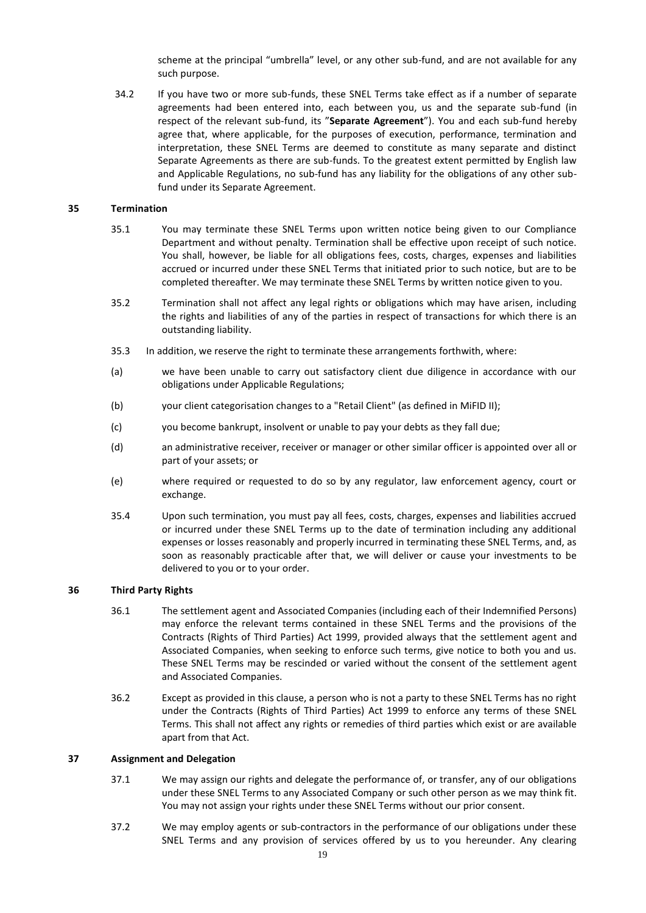scheme at the principal "umbrella" level, or any other sub-fund, and are not available for any such purpose.

34.2 If you have two or more sub-funds, these SNEL Terms take effect as if a number of separate agreements had been entered into, each between you, us and the separate sub-fund (in respect of the relevant sub-fund, its "**Separate Agreement**"). You and each sub-fund hereby agree that, where applicable, for the purposes of execution, performance, termination and interpretation, these SNEL Terms are deemed to constitute as many separate and distinct Separate Agreements as there are sub-funds. To the greatest extent permitted by English law and Applicable Regulations, no sub-fund has any liability for the obligations of any other subfund under its Separate Agreement.

#### **35 Termination**

- 35.1 You may terminate these SNEL Terms upon written notice being given to our Compliance Department and without penalty. Termination shall be effective upon receipt of such notice. You shall, however, be liable for all obligations fees, costs, charges, expenses and liabilities accrued or incurred under these SNEL Terms that initiated prior to such notice, but are to be completed thereafter. We may terminate these SNEL Terms by written notice given to you.
- 35.2 Termination shall not affect any legal rights or obligations which may have arisen, including the rights and liabilities of any of the parties in respect of transactions for which there is an outstanding liability.
- 35.3 In addition, we reserve the right to terminate these arrangements forthwith, where:
- (a) we have been unable to carry out satisfactory client due diligence in accordance with our obligations under Applicable Regulations;
- (b) your client categorisation changes to a "Retail Client" (as defined in MiFID II);
- (c) you become bankrupt, insolvent or unable to pay your debts as they fall due;
- (d) an administrative receiver, receiver or manager or other similar officer is appointed over all or part of your assets; or
- (e) where required or requested to do so by any regulator, law enforcement agency, court or exchange.
- 35.4 Upon such termination, you must pay all fees, costs, charges, expenses and liabilities accrued or incurred under these SNEL Terms up to the date of termination including any additional expenses or losses reasonably and properly incurred in terminating these SNEL Terms, and, as soon as reasonably practicable after that, we will deliver or cause your investments to be delivered to you or to your order.

## **36 Third Party Rights**

- 36.1 The settlement agent and Associated Companies (including each of their Indemnified Persons) may enforce the relevant terms contained in these SNEL Terms and the provisions of the Contracts (Rights of Third Parties) Act 1999, provided always that the settlement agent and Associated Companies, when seeking to enforce such terms, give notice to both you and us. These SNEL Terms may be rescinded or varied without the consent of the settlement agent and Associated Companies.
- 36.2 Except as provided in this clause, a person who is not a party to these SNEL Terms has no right under the Contracts (Rights of Third Parties) Act 1999 to enforce any terms of these SNEL Terms. This shall not affect any rights or remedies of third parties which exist or are available apart from that Act.

#### **37 Assignment and Delegation**

- 37.1 We may assign our rights and delegate the performance of, or transfer, any of our obligations under these SNEL Terms to any Associated Company or such other person as we may think fit. You may not assign your rights under these SNEL Terms without our prior consent.
- 37.2 We may employ agents or sub-contractors in the performance of our obligations under these SNEL Terms and any provision of services offered by us to you hereunder. Any clearing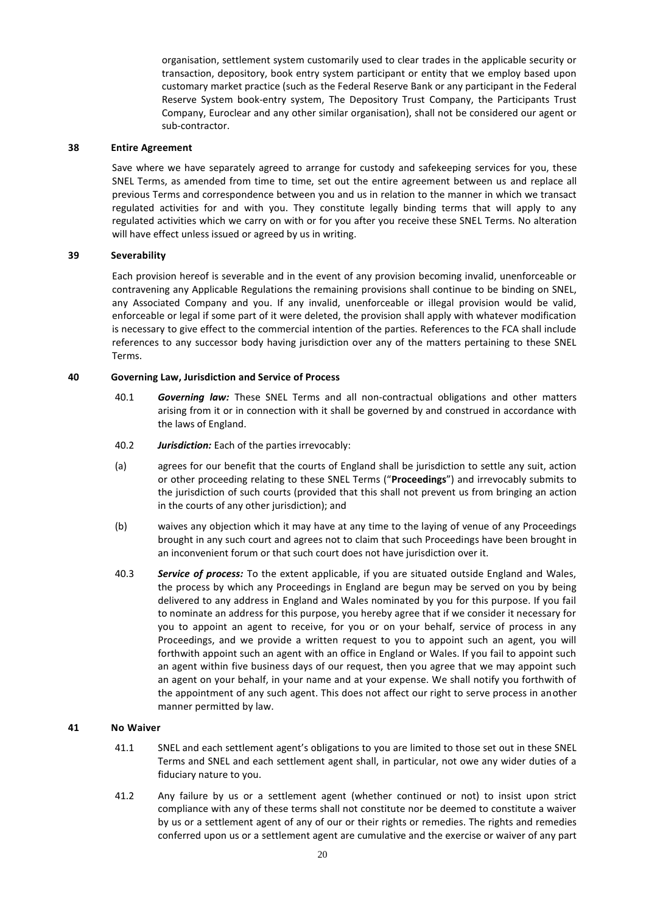organisation, settlement system customarily used to clear trades in the applicable security or transaction, depository, book entry system participant or entity that we employ based upon customary market practice (such as the Federal Reserve Bank or any participant in the Federal Reserve System book-entry system, The Depository Trust Company, the Participants Trust Company, Euroclear and any other similar organisation), shall not be considered our agent or sub-contractor.

#### **38 Entire Agreement**

Save where we have separately agreed to arrange for custody and safekeeping services for you, these SNEL Terms, as amended from time to time, set out the entire agreement between us and replace all previous Terms and correspondence between you and us in relation to the manner in which we transact regulated activities for and with you. They constitute legally binding terms that will apply to any regulated activities which we carry on with or for you after you receive these SNEL Terms. No alteration will have effect unless issued or agreed by us in writing.

#### **39 Severability**

Each provision hereof is severable and in the event of any provision becoming invalid, unenforceable or contravening any Applicable Regulations the remaining provisions shall continue to be binding on SNEL, any Associated Company and you. If any invalid, unenforceable or illegal provision would be valid, enforceable or legal if some part of it were deleted, the provision shall apply with whatever modification is necessary to give effect to the commercial intention of the parties. References to the FCA shall include references to any successor body having jurisdiction over any of the matters pertaining to these SNEL Terms.

#### **40 Governing Law, Jurisdiction and Service of Process**

- 40.1 *Governing law:* These SNEL Terms and all non-contractual obligations and other matters arising from it or in connection with it shall be governed by and construed in accordance with the laws of England.
- 40.2 *Jurisdiction:* Each of the parties irrevocably:
- (a) agrees for our benefit that the courts of England shall be jurisdiction to settle any suit, action or other proceeding relating to these SNEL Terms ("**Proceedings**") and irrevocably submits to the jurisdiction of such courts (provided that this shall not prevent us from bringing an action in the courts of any other jurisdiction); and
- (b) waives any objection which it may have at any time to the laying of venue of any Proceedings brought in any such court and agrees not to claim that such Proceedings have been brought in an inconvenient forum or that such court does not have jurisdiction over it.
- 40.3 *Service of process:* To the extent applicable, if you are situated outside England and Wales, the process by which any Proceedings in England are begun may be served on you by being delivered to any address in England and Wales nominated by you for this purpose. If you fail to nominate an address for this purpose, you hereby agree that if we consider it necessary for you to appoint an agent to receive, for you or on your behalf, service of process in any Proceedings, and we provide a written request to you to appoint such an agent, you will forthwith appoint such an agent with an office in England or Wales. If you fail to appoint such an agent within five business days of our request, then you agree that we may appoint such an agent on your behalf, in your name and at your expense. We shall notify you forthwith of the appointment of any such agent. This does not affect our right to serve process in another manner permitted by law.

#### **41 No Waiver**

- 41.1 SNEL and each settlement agent's obligations to you are limited to those set out in these SNEL Terms and SNEL and each settlement agent shall, in particular, not owe any wider duties of a fiduciary nature to you.
- 41.2 Any failure by us or a settlement agent (whether continued or not) to insist upon strict compliance with any of these terms shall not constitute nor be deemed to constitute a waiver by us or a settlement agent of any of our or their rights or remedies. The rights and remedies conferred upon us or a settlement agent are cumulative and the exercise or waiver of any part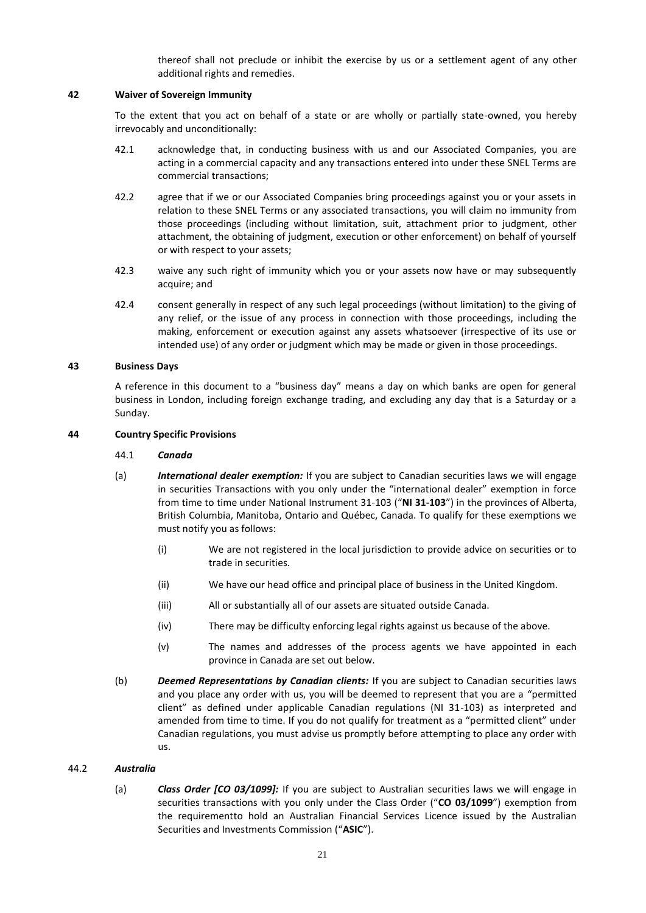thereof shall not preclude or inhibit the exercise by us or a settlement agent of any other additional rights and remedies.

## **42 Waiver of Sovereign Immunity**

To the extent that you act on behalf of a state or are wholly or partially state-owned, you hereby irrevocably and unconditionally:

- 42.1 acknowledge that, in conducting business with us and our Associated Companies, you are acting in a commercial capacity and any transactions entered into under these SNEL Terms are commercial transactions;
- 42.2 agree that if we or our Associated Companies bring proceedings against you or your assets in relation to these SNEL Terms or any associated transactions, you will claim no immunity from those proceedings (including without limitation, suit, attachment prior to judgment, other attachment, the obtaining of judgment, execution or other enforcement) on behalf of yourself or with respect to your assets;
- 42.3 waive any such right of immunity which you or your assets now have or may subsequently acquire; and
- 42.4 consent generally in respect of any such legal proceedings (without limitation) to the giving of any relief, or the issue of any process in connection with those proceedings, including the making, enforcement or execution against any assets whatsoever (irrespective of its use or intended use) of any order or judgment which may be made or given in those proceedings.

#### **43 Business Days**

A reference in this document to a "business day" means a day on which banks are open for general business in London, including foreign exchange trading, and excluding any day that is a Saturday or a Sunday.

## **44 Country Specific Provisions**

#### 44.1 *Canada*

- (a) *International dealer exemption:* If you are subject to Canadian securities laws we will engage in securities Transactions with you only under the "international dealer" exemption in force from time to time under National Instrument 31-103 ("**NI 31-103**") in the provinces of Alberta, British Columbia, Manitoba, Ontario and Québec, Canada. To qualify for these exemptions we must notify you as follows:
	- (i) We are not registered in the local jurisdiction to provide advice on securities or to trade in securities.
	- (ii) We have our head office and principal place of business in the United Kingdom.
	- (iii) All or substantially all of our assets are situated outside Canada.
	- (iv) There may be difficulty enforcing legal rights against us because of the above.
	- (v) The names and addresses of the process agents we have appointed in each province in Canada are set out below.
- (b) *Deemed Representations by Canadian clients:* If you are subject to Canadian securities laws and you place any order with us, you will be deemed to represent that you are a "permitted client" as defined under applicable Canadian regulations (NI 31-103) as interpreted and amended from time to time. If you do not qualify for treatment as a "permitted client" under Canadian regulations, you must advise us promptly before attempting to place any order with us.

## 44.2 *Australia*

(a) *Class Order [CO 03/1099]:* If you are subject to Australian securities laws we will engage in securities transactions with you only under the Class Order ("**CO 03/1099**") exemption from the requirementto hold an Australian Financial Services Licence issued by the Australian Securities and Investments Commission ("**ASIC**").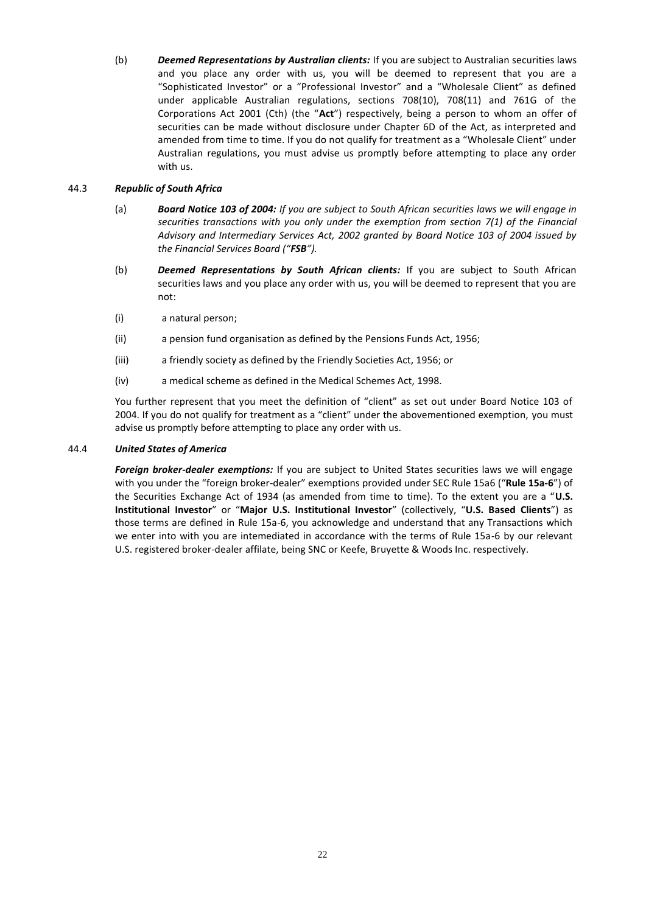(b) *Deemed Representations by Australian clients:* If you are subject to Australian securities laws and you place any order with us, you will be deemed to represent that you are a "Sophisticated Investor" or a "Professional Investor" and a "Wholesale Client" as defined under applicable Australian regulations, sections 708(10), 708(11) and 761G of the Corporations Act 2001 (Cth) (the "**Act**") respectively, being a person to whom an offer of securities can be made without disclosure under Chapter 6D of the Act, as interpreted and amended from time to time. If you do not qualify for treatment as a "Wholesale Client" under Australian regulations, you must advise us promptly before attempting to place any order with us.

## 44.3 *Republic of South Africa*

- (a) *Board Notice 103 of 2004: If you are subject to South African securities laws we will engage in securities transactions with you only under the exemption from section 7(1) of the Financial Advisory and Intermediary Services Act, 2002 granted by Board Notice 103 of 2004 issued by the Financial Services Board ("FSB").*
- (b) *Deemed Representations by South African clients:* If you are subject to South African securities laws and you place any order with us, you will be deemed to represent that you are not:
- (i) a natural person;
- (ii) a pension fund organisation as defined by the Pensions Funds Act, 1956;
- (iii) a friendly society as defined by the Friendly Societies Act, 1956; or
- (iv) a medical scheme as defined in the Medical Schemes Act, 1998.

You further represent that you meet the definition of "client" as set out under Board Notice 103 of 2004. If you do not qualify for treatment as a "client" under the abovementioned exemption, you must advise us promptly before attempting to place any order with us.

## 44.4 *United States of America*

*Foreign broker-dealer exemptions:* If you are subject to United States securities laws we will engage with you under the "foreign broker-dealer" exemptions provided under SEC Rule 15a6 ("**Rule 15a-6**") of the Securities Exchange Act of 1934 (as amended from time to time). To the extent you are a "**U.S. Institutional Investor**" or "**Major U.S. Institutional Investor**" (collectively, "**U.S. Based Clients**") as those terms are defined in Rule 15a-6, you acknowledge and understand that any Transactions which we enter into with you are intemediated in accordance with the terms of Rule 15a-6 by our relevant U.S. registered broker-dealer affilate, being SNC or Keefe, Bruyette & Woods Inc. respectively.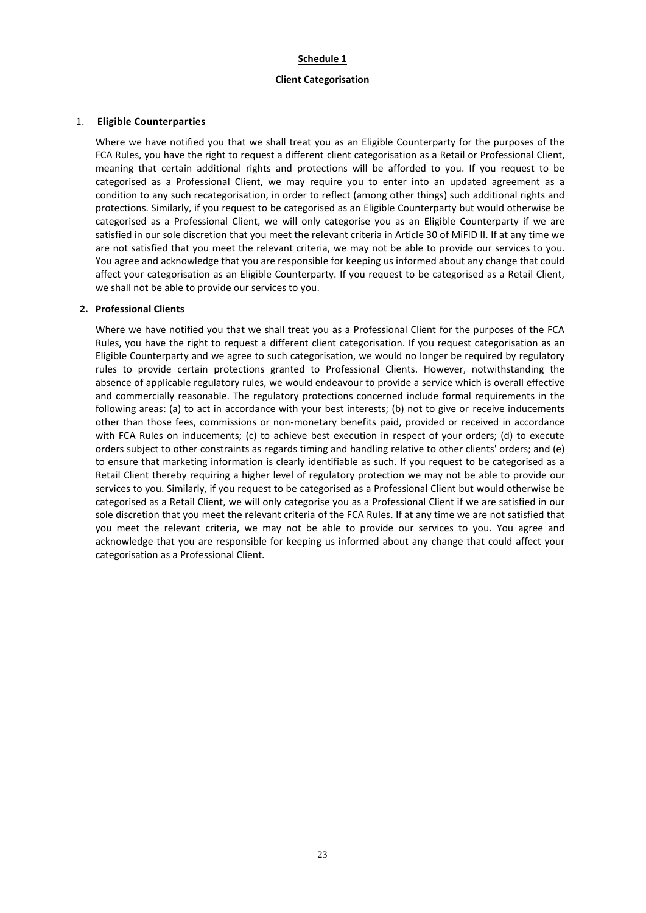#### **Schedule 1**

#### **Client Categorisation**

#### 1. **Eligible Counterparties**

Where we have notified you that we shall treat you as an Eligible Counterparty for the purposes of the FCA Rules, you have the right to request a different client categorisation as a Retail or Professional Client, meaning that certain additional rights and protections will be afforded to you. If you request to be categorised as a Professional Client, we may require you to enter into an updated agreement as a condition to any such recategorisation, in order to reflect (among other things) such additional rights and protections. Similarly, if you request to be categorised as an Eligible Counterparty but would otherwise be categorised as a Professional Client, we will only categorise you as an Eligible Counterparty if we are satisfied in our sole discretion that you meet the relevant criteria in Article 30 of MiFID II. If at any time we are not satisfied that you meet the relevant criteria, we may not be able to provide our services to you. You agree and acknowledge that you are responsible for keeping us informed about any change that could affect your categorisation as an Eligible Counterparty. If you request to be categorised as a Retail Client, we shall not be able to provide our services to you.

#### **2. Professional Clients**

Where we have notified you that we shall treat you as a Professional Client for the purposes of the FCA Rules, you have the right to request a different client categorisation. If you request categorisation as an Eligible Counterparty and we agree to such categorisation, we would no longer be required by regulatory rules to provide certain protections granted to Professional Clients. However, notwithstanding the absence of applicable regulatory rules, we would endeavour to provide a service which is overall effective and commercially reasonable. The regulatory protections concerned include formal requirements in the following areas: (a) to act in accordance with your best interests; (b) not to give or receive inducements other than those fees, commissions or non-monetary benefits paid, provided or received in accordance with FCA Rules on inducements; (c) to achieve best execution in respect of your orders; (d) to execute orders subject to other constraints as regards timing and handling relative to other clients' orders; and (e) to ensure that marketing information is clearly identifiable as such. If you request to be categorised as a Retail Client thereby requiring a higher level of regulatory protection we may not be able to provide our services to you. Similarly, if you request to be categorised as a Professional Client but would otherwise be categorised as a Retail Client, we will only categorise you as a Professional Client if we are satisfied in our sole discretion that you meet the relevant criteria of the FCA Rules. If at any time we are not satisfied that you meet the relevant criteria, we may not be able to provide our services to you. You agree and acknowledge that you are responsible for keeping us informed about any change that could affect your categorisation as a Professional Client.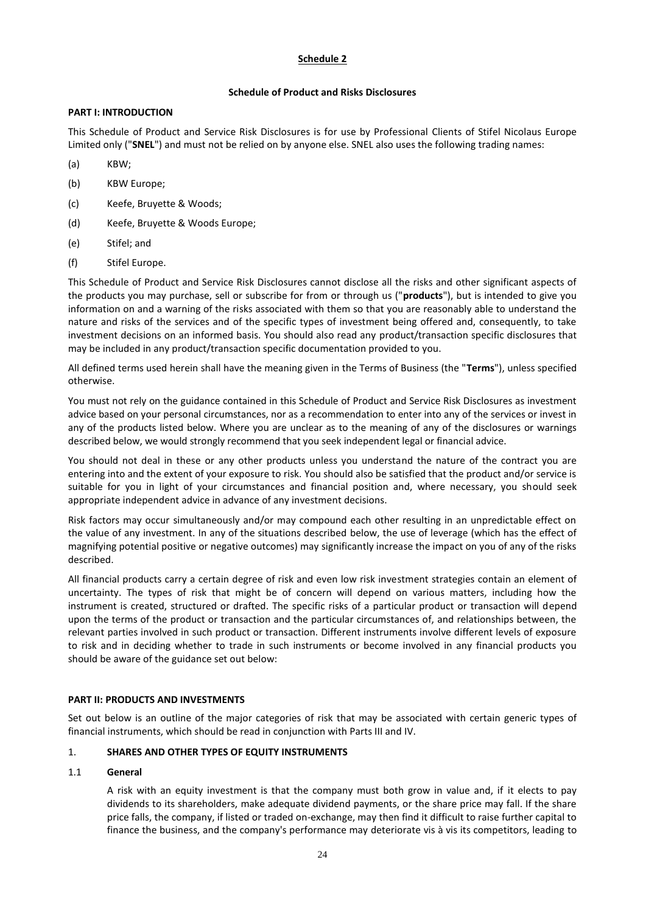# **Schedule 2**

# **Schedule of Product and Risks Disclosures**

## **PART I: INTRODUCTION**

This Schedule of Product and Service Risk Disclosures is for use by Professional Clients of Stifel Nicolaus Europe Limited only ("**SNEL**") and must not be relied on by anyone else. SNEL also uses the following trading names:

- (a) KBW;
- (b) KBW Europe;
- (c) Keefe, Bruyette & Woods;
- (d) Keefe, Bruyette & Woods Europe;
- (e) Stifel; and
- (f) Stifel Europe.

This Schedule of Product and Service Risk Disclosures cannot disclose all the risks and other significant aspects of the products you may purchase, sell or subscribe for from or through us ("**products**"), but is intended to give you information on and a warning of the risks associated with them so that you are reasonably able to understand the nature and risks of the services and of the specific types of investment being offered and, consequently, to take investment decisions on an informed basis. You should also read any product/transaction specific disclosures that may be included in any product/transaction specific documentation provided to you.

All defined terms used herein shall have the meaning given in the Terms of Business (the "**Terms**"), unless specified otherwise.

You must not rely on the guidance contained in this Schedule of Product and Service Risk Disclosures as investment advice based on your personal circumstances, nor as a recommendation to enter into any of the services or invest in any of the products listed below. Where you are unclear as to the meaning of any of the disclosures or warnings described below, we would strongly recommend that you seek independent legal or financial advice.

You should not deal in these or any other products unless you understand the nature of the contract you are entering into and the extent of your exposure to risk. You should also be satisfied that the product and/or service is suitable for you in light of your circumstances and financial position and, where necessary, you should seek appropriate independent advice in advance of any investment decisions.

Risk factors may occur simultaneously and/or may compound each other resulting in an unpredictable effect on the value of any investment. In any of the situations described below, the use of leverage (which has the effect of magnifying potential positive or negative outcomes) may significantly increase the impact on you of any of the risks described.

All financial products carry a certain degree of risk and even low risk investment strategies contain an element of uncertainty. The types of risk that might be of concern will depend on various matters, including how the instrument is created, structured or drafted. The specific risks of a particular product or transaction will depend upon the terms of the product or transaction and the particular circumstances of, and relationships between, the relevant parties involved in such product or transaction. Different instruments involve different levels of exposure to risk and in deciding whether to trade in such instruments or become involved in any financial products you should be aware of the guidance set out below:

## **PART II: PRODUCTS AND INVESTMENTS**

Set out below is an outline of the major categories of risk that may be associated with certain generic types of financial instruments, which should be read in conjunction with Parts III and IV.

# 1. **SHARES AND OTHER TYPES OF EQUITY INSTRUMENTS**

## 1.1 **General**

A risk with an equity investment is that the company must both grow in value and, if it elects to pay dividends to its shareholders, make adequate dividend payments, or the share price may fall. If the share price falls, the company, if listed or traded on-exchange, may then find it difficult to raise further capital to finance the business, and the company's performance may deteriorate vis à vis its competitors, leading to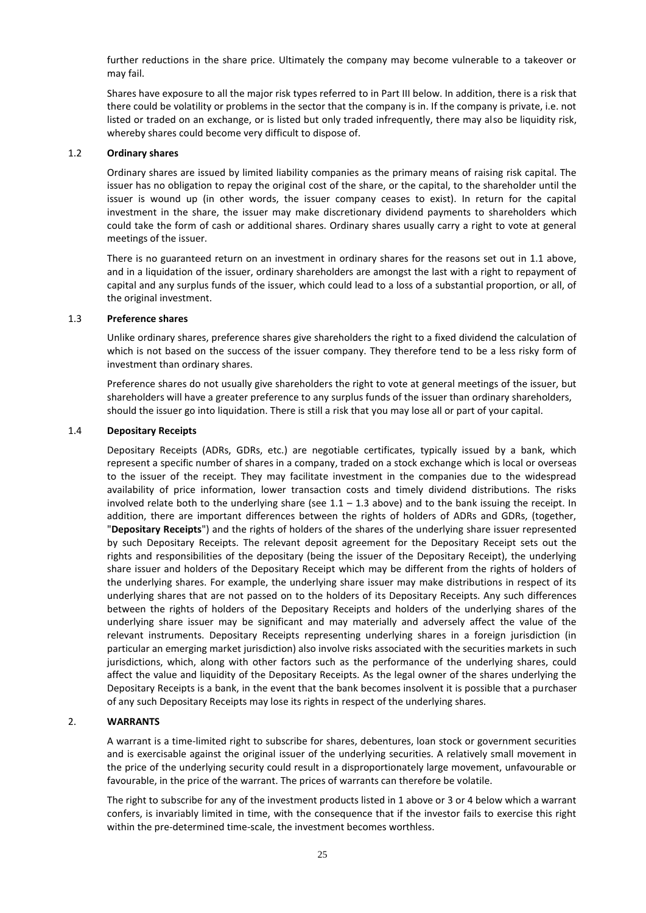further reductions in the share price. Ultimately the company may become vulnerable to a takeover or may fail.

Shares have exposure to all the major risk types referred to in Part III below. In addition, there is a risk that there could be volatility or problems in the sector that the company is in. If the company is private, i.e. not listed or traded on an exchange, or is listed but only traded infrequently, there may also be liquidity risk, whereby shares could become very difficult to dispose of.

#### 1.2 **Ordinary shares**

Ordinary shares are issued by limited liability companies as the primary means of raising risk capital. The issuer has no obligation to repay the original cost of the share, or the capital, to the shareholder until the issuer is wound up (in other words, the issuer company ceases to exist). In return for the capital investment in the share, the issuer may make discretionary dividend payments to shareholders which could take the form of cash or additional shares. Ordinary shares usually carry a right to vote at general meetings of the issuer.

There is no guaranteed return on an investment in ordinary shares for the reasons set out in 1.1 above, and in a liquidation of the issuer, ordinary shareholders are amongst the last with a right to repayment of capital and any surplus funds of the issuer, which could lead to a loss of a substantial proportion, or all, of the original investment.

#### 1.3 **Preference shares**

Unlike ordinary shares, preference shares give shareholders the right to a fixed dividend the calculation of which is not based on the success of the issuer company. They therefore tend to be a less risky form of investment than ordinary shares.

Preference shares do not usually give shareholders the right to vote at general meetings of the issuer, but shareholders will have a greater preference to any surplus funds of the issuer than ordinary shareholders, should the issuer go into liquidation. There is still a risk that you may lose all or part of your capital.

#### 1.4 **Depositary Receipts**

Depositary Receipts (ADRs, GDRs, etc.) are negotiable certificates, typically issued by a bank, which represent a specific number of shares in a company, traded on a stock exchange which is local or overseas to the issuer of the receipt. They may facilitate investment in the companies due to the widespread availability of price information, lower transaction costs and timely dividend distributions. The risks involved relate both to the underlying share (see  $1.1 - 1.3$  above) and to the bank issuing the receipt. In addition, there are important differences between the rights of holders of ADRs and GDRs, (together, "**Depositary Receipts**") and the rights of holders of the shares of the underlying share issuer represented by such Depositary Receipts. The relevant deposit agreement for the Depositary Receipt sets out the rights and responsibilities of the depositary (being the issuer of the Depositary Receipt), the underlying share issuer and holders of the Depositary Receipt which may be different from the rights of holders of the underlying shares. For example, the underlying share issuer may make distributions in respect of its underlying shares that are not passed on to the holders of its Depositary Receipts. Any such differences between the rights of holders of the Depositary Receipts and holders of the underlying shares of the underlying share issuer may be significant and may materially and adversely affect the value of the relevant instruments. Depositary Receipts representing underlying shares in a foreign jurisdiction (in particular an emerging market jurisdiction) also involve risks associated with the securities markets in such jurisdictions, which, along with other factors such as the performance of the underlying shares, could affect the value and liquidity of the Depositary Receipts. As the legal owner of the shares underlying the Depositary Receipts is a bank, in the event that the bank becomes insolvent it is possible that a purchaser of any such Depositary Receipts may lose its rights in respect of the underlying shares.

#### 2. **WARRANTS**

A warrant is a time-limited right to subscribe for shares, debentures, loan stock or government securities and is exercisable against the original issuer of the underlying securities. A relatively small movement in the price of the underlying security could result in a disproportionately large movement, unfavourable or favourable, in the price of the warrant. The prices of warrants can therefore be volatile.

The right to subscribe for any of the investment products listed in 1 above or 3 or 4 below which a warrant confers, is invariably limited in time, with the consequence that if the investor fails to exercise this right within the pre-determined time-scale, the investment becomes worthless.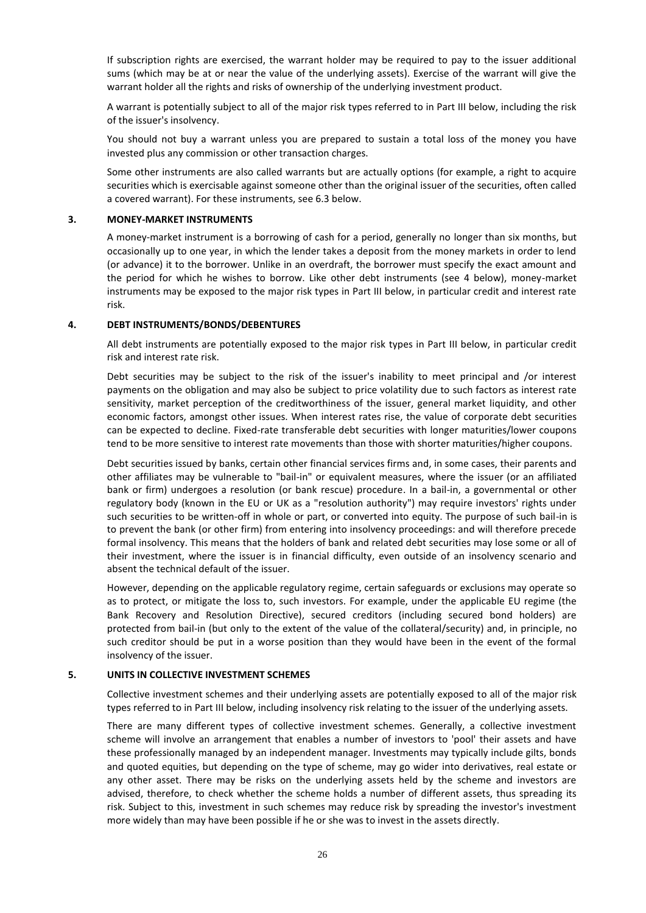If subscription rights are exercised, the warrant holder may be required to pay to the issuer additional sums (which may be at or near the value of the underlying assets). Exercise of the warrant will give the warrant holder all the rights and risks of ownership of the underlying investment product.

A warrant is potentially subject to all of the major risk types referred to in Part III below, including the risk of the issuer's insolvency.

You should not buy a warrant unless you are prepared to sustain a total loss of the money you have invested plus any commission or other transaction charges.

Some other instruments are also called warrants but are actually options (for example, a right to acquire securities which is exercisable against someone other than the original issuer of the securities, often called a covered warrant). For these instruments, see 6.3 below.

#### **3. MONEY-MARKET INSTRUMENTS**

A money-market instrument is a borrowing of cash for a period, generally no longer than six months, but occasionally up to one year, in which the lender takes a deposit from the money markets in order to lend (or advance) it to the borrower. Unlike in an overdraft, the borrower must specify the exact amount and the period for which he wishes to borrow. Like other debt instruments (see 4 below), money-market instruments may be exposed to the major risk types in Part III below, in particular credit and interest rate risk.

#### **4. DEBT INSTRUMENTS/BONDS/DEBENTURES**

All debt instruments are potentially exposed to the major risk types in Part III below, in particular credit risk and interest rate risk.

Debt securities may be subject to the risk of the issuer's inability to meet principal and /or interest payments on the obligation and may also be subject to price volatility due to such factors as interest rate sensitivity, market perception of the creditworthiness of the issuer, general market liquidity, and other economic factors, amongst other issues. When interest rates rise, the value of corporate debt securities can be expected to decline. Fixed-rate transferable debt securities with longer maturities/lower coupons tend to be more sensitive to interest rate movements than those with shorter maturities/higher coupons.

Debt securities issued by banks, certain other financial services firms and, in some cases, their parents and other affiliates may be vulnerable to "bail-in" or equivalent measures, where the issuer (or an affiliated bank or firm) undergoes a resolution (or bank rescue) procedure. In a bail-in, a governmental or other regulatory body (known in the EU or UK as a "resolution authority") may require investors' rights under such securities to be written-off in whole or part, or converted into equity. The purpose of such bail-in is to prevent the bank (or other firm) from entering into insolvency proceedings: and will therefore precede formal insolvency. This means that the holders of bank and related debt securities may lose some or all of their investment, where the issuer is in financial difficulty, even outside of an insolvency scenario and absent the technical default of the issuer.

However, depending on the applicable regulatory regime, certain safeguards or exclusions may operate so as to protect, or mitigate the loss to, such investors. For example, under the applicable EU regime (the Bank Recovery and Resolution Directive), secured creditors (including secured bond holders) are protected from bail-in (but only to the extent of the value of the collateral/security) and, in principle, no such creditor should be put in a worse position than they would have been in the event of the formal insolvency of the issuer.

#### **5. UNITS IN COLLECTIVE INVESTMENT SCHEMES**

Collective investment schemes and their underlying assets are potentially exposed to all of the major risk types referred to in Part III below, including insolvency risk relating to the issuer of the underlying assets.

There are many different types of collective investment schemes. Generally, a collective investment scheme will involve an arrangement that enables a number of investors to 'pool' their assets and have these professionally managed by an independent manager. Investments may typically include gilts, bonds and quoted equities, but depending on the type of scheme, may go wider into derivatives, real estate or any other asset. There may be risks on the underlying assets held by the scheme and investors are advised, therefore, to check whether the scheme holds a number of different assets, thus spreading its risk. Subject to this, investment in such schemes may reduce risk by spreading the investor's investment more widely than may have been possible if he or she was to invest in the assets directly.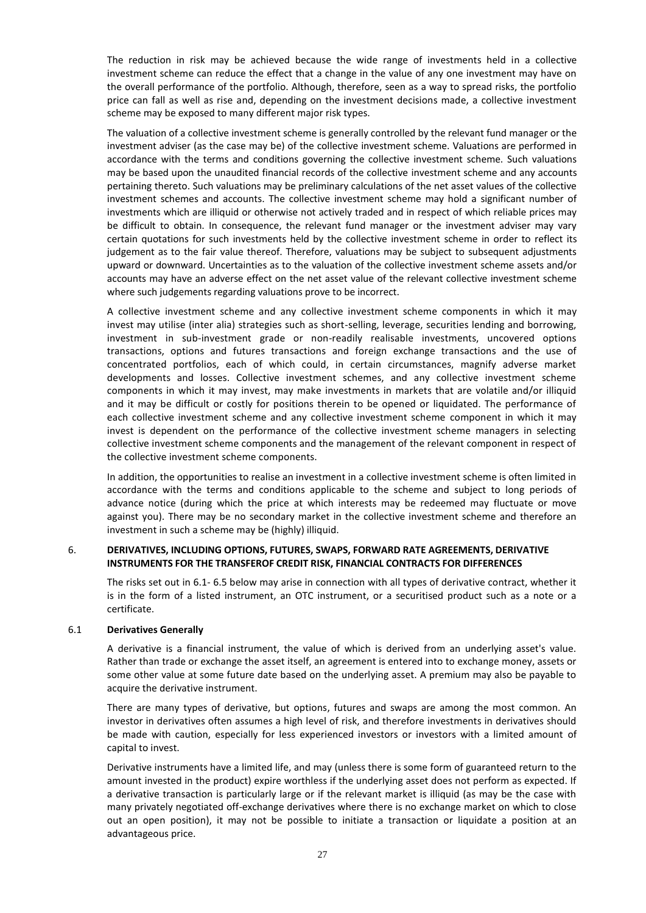The reduction in risk may be achieved because the wide range of investments held in a collective investment scheme can reduce the effect that a change in the value of any one investment may have on the overall performance of the portfolio. Although, therefore, seen as a way to spread risks, the portfolio price can fall as well as rise and, depending on the investment decisions made, a collective investment scheme may be exposed to many different major risk types.

The valuation of a collective investment scheme is generally controlled by the relevant fund manager or the investment adviser (as the case may be) of the collective investment scheme. Valuations are performed in accordance with the terms and conditions governing the collective investment scheme. Such valuations may be based upon the unaudited financial records of the collective investment scheme and any accounts pertaining thereto. Such valuations may be preliminary calculations of the net asset values of the collective investment schemes and accounts. The collective investment scheme may hold a significant number of investments which are illiquid or otherwise not actively traded and in respect of which reliable prices may be difficult to obtain. In consequence, the relevant fund manager or the investment adviser may vary certain quotations for such investments held by the collective investment scheme in order to reflect its judgement as to the fair value thereof. Therefore, valuations may be subject to subsequent adjustments upward or downward. Uncertainties as to the valuation of the collective investment scheme assets and/or accounts may have an adverse effect on the net asset value of the relevant collective investment scheme where such judgements regarding valuations prove to be incorrect.

A collective investment scheme and any collective investment scheme components in which it may invest may utilise (inter alia) strategies such as short-selling, leverage, securities lending and borrowing, investment in sub-investment grade or non-readily realisable investments, uncovered options transactions, options and futures transactions and foreign exchange transactions and the use of concentrated portfolios, each of which could, in certain circumstances, magnify adverse market developments and losses. Collective investment schemes, and any collective investment scheme components in which it may invest, may make investments in markets that are volatile and/or illiquid and it may be difficult or costly for positions therein to be opened or liquidated. The performance of each collective investment scheme and any collective investment scheme component in which it may invest is dependent on the performance of the collective investment scheme managers in selecting collective investment scheme components and the management of the relevant component in respect of the collective investment scheme components.

In addition, the opportunities to realise an investment in a collective investment scheme is often limited in accordance with the terms and conditions applicable to the scheme and subject to long periods of advance notice (during which the price at which interests may be redeemed may fluctuate or move against you). There may be no secondary market in the collective investment scheme and therefore an investment in such a scheme may be (highly) illiquid.

## 6. **DERIVATIVES, INCLUDING OPTIONS, FUTURES, SWAPS, FORWARD RATE AGREEMENTS, DERIVATIVE INSTRUMENTS FOR THE TRANSFEROF CREDIT RISK, FINANCIAL CONTRACTS FOR DIFFERENCES**

The risks set out in 6.1- 6.5 below may arise in connection with all types of derivative contract, whether it is in the form of a listed instrument, an OTC instrument, or a securitised product such as a note or a certificate.

## 6.1 **Derivatives Generally**

A derivative is a financial instrument, the value of which is derived from an underlying asset's value. Rather than trade or exchange the asset itself, an agreement is entered into to exchange money, assets or some other value at some future date based on the underlying asset. A premium may also be payable to acquire the derivative instrument.

There are many types of derivative, but options, futures and swaps are among the most common. An investor in derivatives often assumes a high level of risk, and therefore investments in derivatives should be made with caution, especially for less experienced investors or investors with a limited amount of capital to invest.

Derivative instruments have a limited life, and may (unless there is some form of guaranteed return to the amount invested in the product) expire worthless if the underlying asset does not perform as expected. If a derivative transaction is particularly large or if the relevant market is illiquid (as may be the case with many privately negotiated off-exchange derivatives where there is no exchange market on which to close out an open position), it may not be possible to initiate a transaction or liquidate a position at an advantageous price.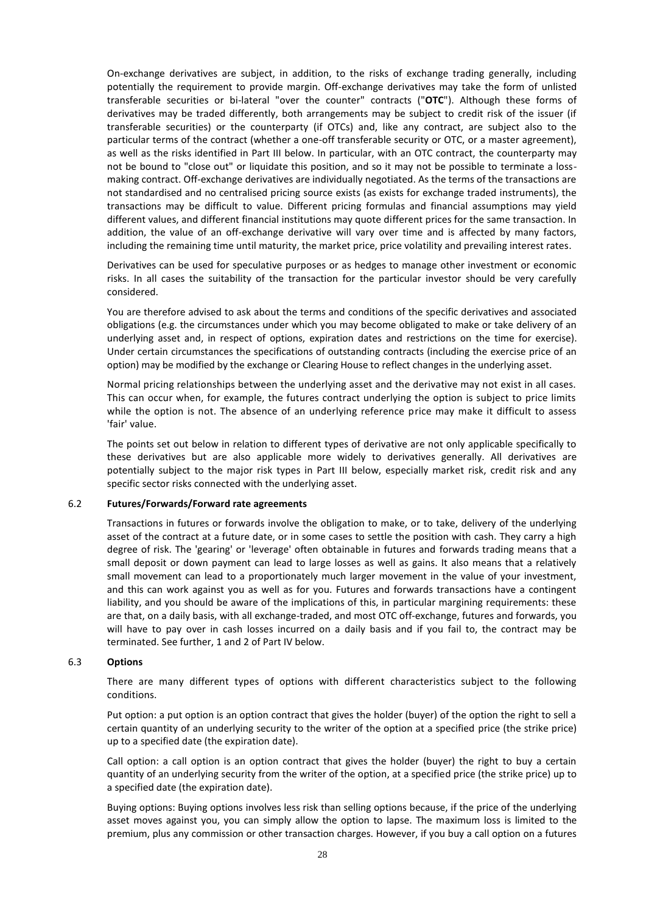On-exchange derivatives are subject, in addition, to the risks of exchange trading generally, including potentially the requirement to provide margin. Off-exchange derivatives may take the form of unlisted transferable securities or bi-lateral "over the counter" contracts ("**OTC**"). Although these forms of derivatives may be traded differently, both arrangements may be subject to credit risk of the issuer (if transferable securities) or the counterparty (if OTCs) and, like any contract, are subject also to the particular terms of the contract (whether a one-off transferable security or OTC, or a master agreement), as well as the risks identified in Part III below. In particular, with an OTC contract, the counterparty may not be bound to "close out" or liquidate this position, and so it may not be possible to terminate a lossmaking contract. Off-exchange derivatives are individually negotiated. As the terms of the transactions are not standardised and no centralised pricing source exists (as exists for exchange traded instruments), the transactions may be difficult to value. Different pricing formulas and financial assumptions may yield different values, and different financial institutions may quote different prices for the same transaction. In addition, the value of an off-exchange derivative will vary over time and is affected by many factors, including the remaining time until maturity, the market price, price volatility and prevailing interest rates.

Derivatives can be used for speculative purposes or as hedges to manage other investment or economic risks. In all cases the suitability of the transaction for the particular investor should be very carefully considered.

You are therefore advised to ask about the terms and conditions of the specific derivatives and associated obligations (e.g. the circumstances under which you may become obligated to make or take delivery of an underlying asset and, in respect of options, expiration dates and restrictions on the time for exercise). Under certain circumstances the specifications of outstanding contracts (including the exercise price of an option) may be modified by the exchange or Clearing House to reflect changes in the underlying asset.

Normal pricing relationships between the underlying asset and the derivative may not exist in all cases. This can occur when, for example, the futures contract underlying the option is subject to price limits while the option is not. The absence of an underlying reference price may make it difficult to assess 'fair' value.

The points set out below in relation to different types of derivative are not only applicable specifically to these derivatives but are also applicable more widely to derivatives generally. All derivatives are potentially subject to the major risk types in Part III below, especially market risk, credit risk and any specific sector risks connected with the underlying asset.

#### 6.2 **Futures/Forwards/Forward rate agreements**

Transactions in futures or forwards involve the obligation to make, or to take, delivery of the underlying asset of the contract at a future date, or in some cases to settle the position with cash. They carry a high degree of risk. The 'gearing' or 'leverage' often obtainable in futures and forwards trading means that a small deposit or down payment can lead to large losses as well as gains. It also means that a relatively small movement can lead to a proportionately much larger movement in the value of your investment, and this can work against you as well as for you. Futures and forwards transactions have a contingent liability, and you should be aware of the implications of this, in particular margining requirements: these are that, on a daily basis, with all exchange-traded, and most OTC off-exchange, futures and forwards, you will have to pay over in cash losses incurred on a daily basis and if you fail to, the contract may be terminated. See further, 1 and 2 of Part IV below.

#### 6.3 **Options**

There are many different types of options with different characteristics subject to the following conditions.

Put option: a put option is an option contract that gives the holder (buyer) of the option the right to sell a certain quantity of an underlying security to the writer of the option at a specified price (the strike price) up to a specified date (the expiration date).

Call option: a call option is an option contract that gives the holder (buyer) the right to buy a certain quantity of an underlying security from the writer of the option, at a specified price (the strike price) up to a specified date (the expiration date).

Buying options: Buying options involves less risk than selling options because, if the price of the underlying asset moves against you, you can simply allow the option to lapse. The maximum loss is limited to the premium, plus any commission or other transaction charges. However, if you buy a call option on a futures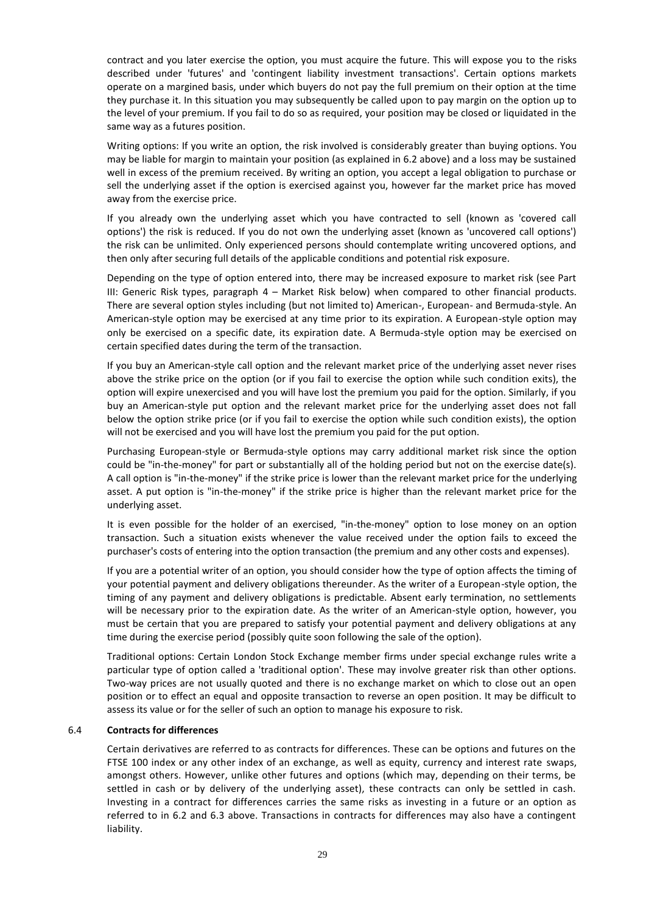contract and you later exercise the option, you must acquire the future. This will expose you to the risks described under 'futures' and 'contingent liability investment transactions'. Certain options markets operate on a margined basis, under which buyers do not pay the full premium on their option at the time they purchase it. In this situation you may subsequently be called upon to pay margin on the option up to the level of your premium. If you fail to do so as required, your position may be closed or liquidated in the same way as a futures position.

Writing options: If you write an option, the risk involved is considerably greater than buying options. You may be liable for margin to maintain your position (as explained in 6.2 above) and a loss may be sustained well in excess of the premium received. By writing an option, you accept a legal obligation to purchase or sell the underlying asset if the option is exercised against you, however far the market price has moved away from the exercise price.

If you already own the underlying asset which you have contracted to sell (known as 'covered call options') the risk is reduced. If you do not own the underlying asset (known as 'uncovered call options') the risk can be unlimited. Only experienced persons should contemplate writing uncovered options, and then only after securing full details of the applicable conditions and potential risk exposure.

Depending on the type of option entered into, there may be increased exposure to market risk (see Part III: Generic Risk types, paragraph 4 – Market Risk below) when compared to other financial products. There are several option styles including (but not limited to) American-, European- and Bermuda-style. An American-style option may be exercised at any time prior to its expiration. A European-style option may only be exercised on a specific date, its expiration date. A Bermuda-style option may be exercised on certain specified dates during the term of the transaction.

If you buy an American-style call option and the relevant market price of the underlying asset never rises above the strike price on the option (or if you fail to exercise the option while such condition exits), the option will expire unexercised and you will have lost the premium you paid for the option. Similarly, if you buy an American-style put option and the relevant market price for the underlying asset does not fall below the option strike price (or if you fail to exercise the option while such condition exists), the option will not be exercised and you will have lost the premium you paid for the put option.

Purchasing European-style or Bermuda-style options may carry additional market risk since the option could be "in-the-money" for part or substantially all of the holding period but not on the exercise date(s). A call option is "in-the-money" if the strike price is lower than the relevant market price for the underlying asset. A put option is "in-the-money" if the strike price is higher than the relevant market price for the underlying asset.

It is even possible for the holder of an exercised, "in-the-money" option to lose money on an option transaction. Such a situation exists whenever the value received under the option fails to exceed the purchaser's costs of entering into the option transaction (the premium and any other costs and expenses).

If you are a potential writer of an option, you should consider how the type of option affects the timing of your potential payment and delivery obligations thereunder. As the writer of a European-style option, the timing of any payment and delivery obligations is predictable. Absent early termination, no settlements will be necessary prior to the expiration date. As the writer of an American-style option, however, you must be certain that you are prepared to satisfy your potential payment and delivery obligations at any time during the exercise period (possibly quite soon following the sale of the option).

Traditional options: Certain London Stock Exchange member firms under special exchange rules write a particular type of option called a 'traditional option'. These may involve greater risk than other options. Two-way prices are not usually quoted and there is no exchange market on which to close out an open position or to effect an equal and opposite transaction to reverse an open position. It may be difficult to assess its value or for the seller of such an option to manage his exposure to risk.

## 6.4 **Contracts for differences**

Certain derivatives are referred to as contracts for differences. These can be options and futures on the FTSE 100 index or any other index of an exchange, as well as equity, currency and interest rate swaps, amongst others. However, unlike other futures and options (which may, depending on their terms, be settled in cash or by delivery of the underlying asset), these contracts can only be settled in cash. Investing in a contract for differences carries the same risks as investing in a future or an option as referred to in 6.2 and 6.3 above. Transactions in contracts for differences may also have a contingent liability.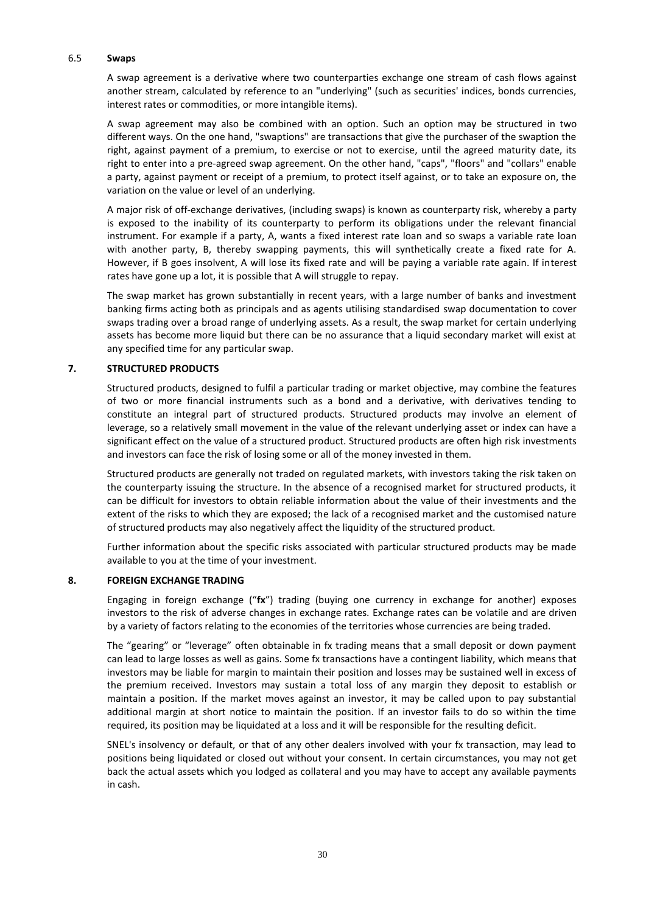#### 6.5 **Swaps**

A swap agreement is a derivative where two counterparties exchange one stream of cash flows against another stream, calculated by reference to an "underlying" (such as securities' indices, bonds currencies, interest rates or commodities, or more intangible items).

A swap agreement may also be combined with an option. Such an option may be structured in two different ways. On the one hand, "swaptions" are transactions that give the purchaser of the swaption the right, against payment of a premium, to exercise or not to exercise, until the agreed maturity date, its right to enter into a pre-agreed swap agreement. On the other hand, "caps", "floors" and "collars" enable a party, against payment or receipt of a premium, to protect itself against, or to take an exposure on, the variation on the value or level of an underlying.

A major risk of off-exchange derivatives, (including swaps) is known as counterparty risk, whereby a party is exposed to the inability of its counterparty to perform its obligations under the relevant financial instrument. For example if a party, A, wants a fixed interest rate loan and so swaps a variable rate loan with another party, B, thereby swapping payments, this will synthetically create a fixed rate for A. However, if B goes insolvent, A will lose its fixed rate and will be paying a variable rate again. If interest rates have gone up a lot, it is possible that A will struggle to repay.

The swap market has grown substantially in recent years, with a large number of banks and investment banking firms acting both as principals and as agents utilising standardised swap documentation to cover swaps trading over a broad range of underlying assets. As a result, the swap market for certain underlying assets has become more liquid but there can be no assurance that a liquid secondary market will exist at any specified time for any particular swap.

## **7. STRUCTURED PRODUCTS**

Structured products, designed to fulfil a particular trading or market objective, may combine the features of two or more financial instruments such as a bond and a derivative, with derivatives tending to constitute an integral part of structured products. Structured products may involve an element of leverage, so a relatively small movement in the value of the relevant underlying asset or index can have a significant effect on the value of a structured product. Structured products are often high risk investments and investors can face the risk of losing some or all of the money invested in them.

Structured products are generally not traded on regulated markets, with investors taking the risk taken on the counterparty issuing the structure. In the absence of a recognised market for structured products, it can be difficult for investors to obtain reliable information about the value of their investments and the extent of the risks to which they are exposed; the lack of a recognised market and the customised nature of structured products may also negatively affect the liquidity of the structured product.

Further information about the specific risks associated with particular structured products may be made available to you at the time of your investment.

## **8. FOREIGN EXCHANGE TRADING**

Engaging in foreign exchange ("**fx**") trading (buying one currency in exchange for another) exposes investors to the risk of adverse changes in exchange rates. Exchange rates can be volatile and are driven by a variety of factors relating to the economies of the territories whose currencies are being traded.

The "gearing" or "leverage" often obtainable in fx trading means that a small deposit or down payment can lead to large losses as well as gains. Some fx transactions have a contingent liability, which means that investors may be liable for margin to maintain their position and losses may be sustained well in excess of the premium received. Investors may sustain a total loss of any margin they deposit to establish or maintain a position. If the market moves against an investor, it may be called upon to pay substantial additional margin at short notice to maintain the position. If an investor fails to do so within the time required, its position may be liquidated at a loss and it will be responsible for the resulting deficit.

SNEL's insolvency or default, or that of any other dealers involved with your fx transaction, may lead to positions being liquidated or closed out without your consent. In certain circumstances, you may not get back the actual assets which you lodged as collateral and you may have to accept any available payments in cash.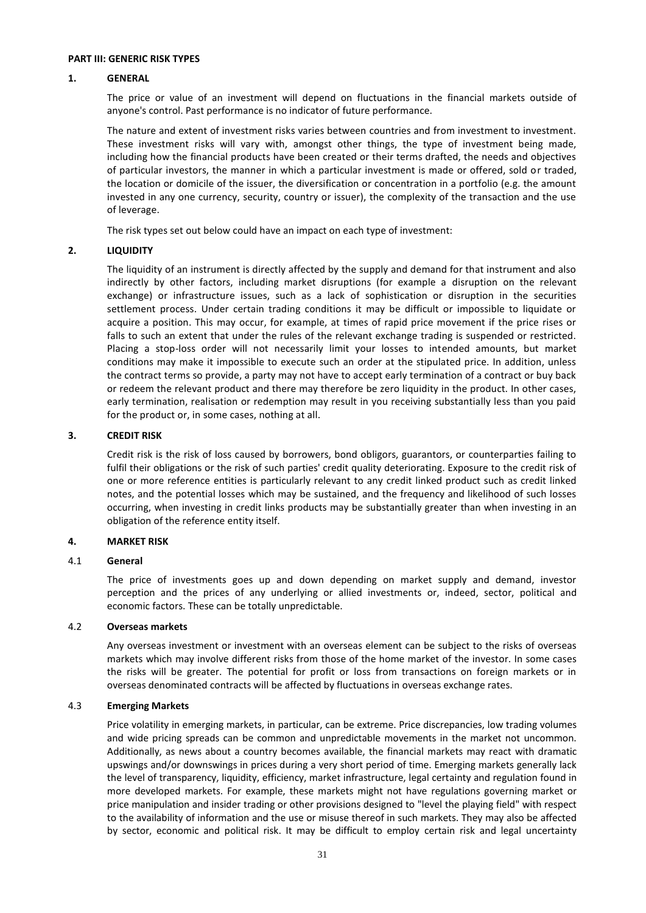#### **PART III: GENERIC RISK TYPES**

#### **1. GENERAL**

The price or value of an investment will depend on fluctuations in the financial markets outside of anyone's control. Past performance is no indicator of future performance.

The nature and extent of investment risks varies between countries and from investment to investment. These investment risks will vary with, amongst other things, the type of investment being made, including how the financial products have been created or their terms drafted, the needs and objectives of particular investors, the manner in which a particular investment is made or offered, sold or traded, the location or domicile of the issuer, the diversification or concentration in a portfolio (e.g. the amount invested in any one currency, security, country or issuer), the complexity of the transaction and the use of leverage.

The risk types set out below could have an impact on each type of investment:

## **2. LIQUIDITY**

The liquidity of an instrument is directly affected by the supply and demand for that instrument and also indirectly by other factors, including market disruptions (for example a disruption on the relevant exchange) or infrastructure issues, such as a lack of sophistication or disruption in the securities settlement process. Under certain trading conditions it may be difficult or impossible to liquidate or acquire a position. This may occur, for example, at times of rapid price movement if the price rises or falls to such an extent that under the rules of the relevant exchange trading is suspended or restricted. Placing a stop-loss order will not necessarily limit your losses to intended amounts, but market conditions may make it impossible to execute such an order at the stipulated price. In addition, unless the contract terms so provide, a party may not have to accept early termination of a contract or buy back or redeem the relevant product and there may therefore be zero liquidity in the product. In other cases, early termination, realisation or redemption may result in you receiving substantially less than you paid for the product or, in some cases, nothing at all.

#### **3. CREDIT RISK**

Credit risk is the risk of loss caused by borrowers, bond obligors, guarantors, or counterparties failing to fulfil their obligations or the risk of such parties' credit quality deteriorating. Exposure to the credit risk of one or more reference entities is particularly relevant to any credit linked product such as credit linked notes, and the potential losses which may be sustained, and the frequency and likelihood of such losses occurring, when investing in credit links products may be substantially greater than when investing in an obligation of the reference entity itself.

## **4. MARKET RISK**

#### 4.1 **General**

The price of investments goes up and down depending on market supply and demand, investor perception and the prices of any underlying or allied investments or, indeed, sector, political and economic factors. These can be totally unpredictable.

#### 4.2 **Overseas markets**

Any overseas investment or investment with an overseas element can be subject to the risks of overseas markets which may involve different risks from those of the home market of the investor. In some cases the risks will be greater. The potential for profit or loss from transactions on foreign markets or in overseas denominated contracts will be affected by fluctuations in overseas exchange rates.

#### 4.3 **Emerging Markets**

Price volatility in emerging markets, in particular, can be extreme. Price discrepancies, low trading volumes and wide pricing spreads can be common and unpredictable movements in the market not uncommon. Additionally, as news about a country becomes available, the financial markets may react with dramatic upswings and/or downswings in prices during a very short period of time. Emerging markets generally lack the level of transparency, liquidity, efficiency, market infrastructure, legal certainty and regulation found in more developed markets. For example, these markets might not have regulations governing market or price manipulation and insider trading or other provisions designed to "level the playing field" with respect to the availability of information and the use or misuse thereof in such markets. They may also be affected by sector, economic and political risk. It may be difficult to employ certain risk and legal uncertainty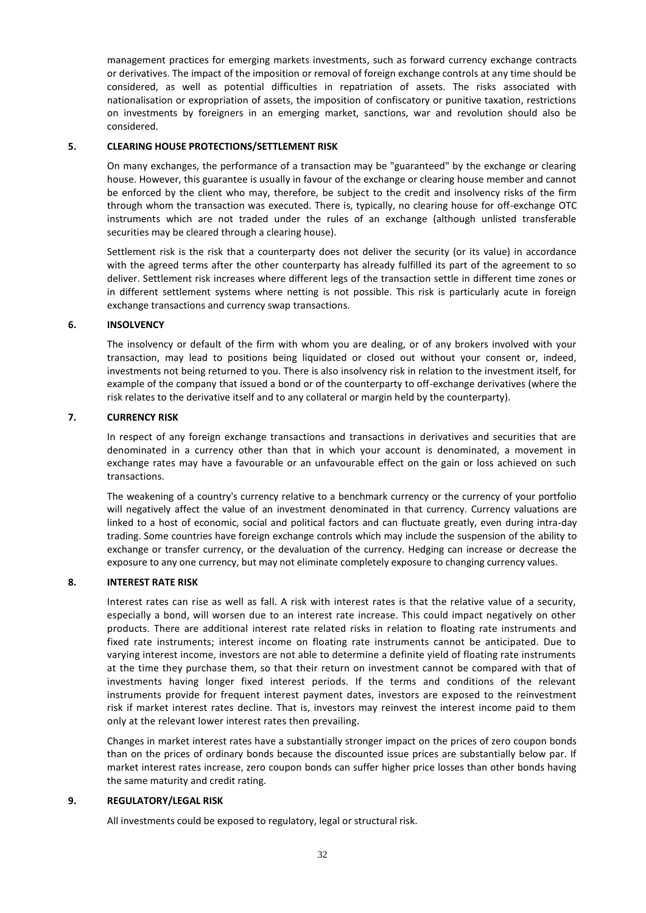management practices for emerging markets investments, such as forward currency exchange contracts or derivatives. The impact of the imposition or removal of foreign exchange controls at any time should be considered, as well as potential difficulties in repatriation of assets. The risks associated with nationalisation or expropriation of assets, the imposition of confiscatory or punitive taxation, restrictions on investments by foreigners in an emerging market, sanctions, war and revolution should also be considered.

## **5. CLEARING HOUSE PROTECTIONS/SETTLEMENT RISK**

On many exchanges, the performance of a transaction may be "guaranteed" by the exchange or clearing house. However, this guarantee is usually in favour of the exchange or clearing house member and cannot be enforced by the client who may, therefore, be subject to the credit and insolvency risks of the firm through whom the transaction was executed. There is, typically, no clearing house for off-exchange OTC instruments which are not traded under the rules of an exchange (although unlisted transferable securities may be cleared through a clearing house).

Settlement risk is the risk that a counterparty does not deliver the security (or its value) in accordance with the agreed terms after the other counterparty has already fulfilled its part of the agreement to so deliver. Settlement risk increases where different legs of the transaction settle in different time zones or in different settlement systems where netting is not possible. This risk is particularly acute in foreign exchange transactions and currency swap transactions.

# **6. INSOLVENCY**

The insolvency or default of the firm with whom you are dealing, or of any brokers involved with your transaction, may lead to positions being liquidated or closed out without your consent or, indeed, investments not being returned to you. There is also insolvency risk in relation to the investment itself, for example of the company that issued a bond or of the counterparty to off-exchange derivatives (where the risk relates to the derivative itself and to any collateral or margin held by the counterparty).

# **7. CURRENCY RISK**

In respect of any foreign exchange transactions and transactions in derivatives and securities that are denominated in a currency other than that in which your account is denominated, a movement in exchange rates may have a favourable or an unfavourable effect on the gain or loss achieved on such transactions.

The weakening of a country's currency relative to a benchmark currency or the currency of your portfolio will negatively affect the value of an investment denominated in that currency. Currency valuations are linked to a host of economic, social and political factors and can fluctuate greatly, even during intra-day trading. Some countries have foreign exchange controls which may include the suspension of the ability to exchange or transfer currency, or the devaluation of the currency. Hedging can increase or decrease the exposure to any one currency, but may not eliminate completely exposure to changing currency values.

## **8. INTEREST RATE RISK**

Interest rates can rise as well as fall. A risk with interest rates is that the relative value of a security, especially a bond, will worsen due to an interest rate increase. This could impact negatively on other products. There are additional interest rate related risks in relation to floating rate instruments and fixed rate instruments; interest income on floating rate instruments cannot be anticipated. Due to varying interest income, investors are not able to determine a definite yield of floating rate instruments at the time they purchase them, so that their return on investment cannot be compared with that of investments having longer fixed interest periods. If the terms and conditions of the relevant instruments provide for frequent interest payment dates, investors are exposed to the reinvestment risk if market interest rates decline. That is, investors may reinvest the interest income paid to them only at the relevant lower interest rates then prevailing.

Changes in market interest rates have a substantially stronger impact on the prices of zero coupon bonds than on the prices of ordinary bonds because the discounted issue prices are substantially below par. If market interest rates increase, zero coupon bonds can suffer higher price losses than other bonds having the same maturity and credit rating.

## **9. REGULATORY/LEGAL RISK**

All investments could be exposed to regulatory, legal or structural risk.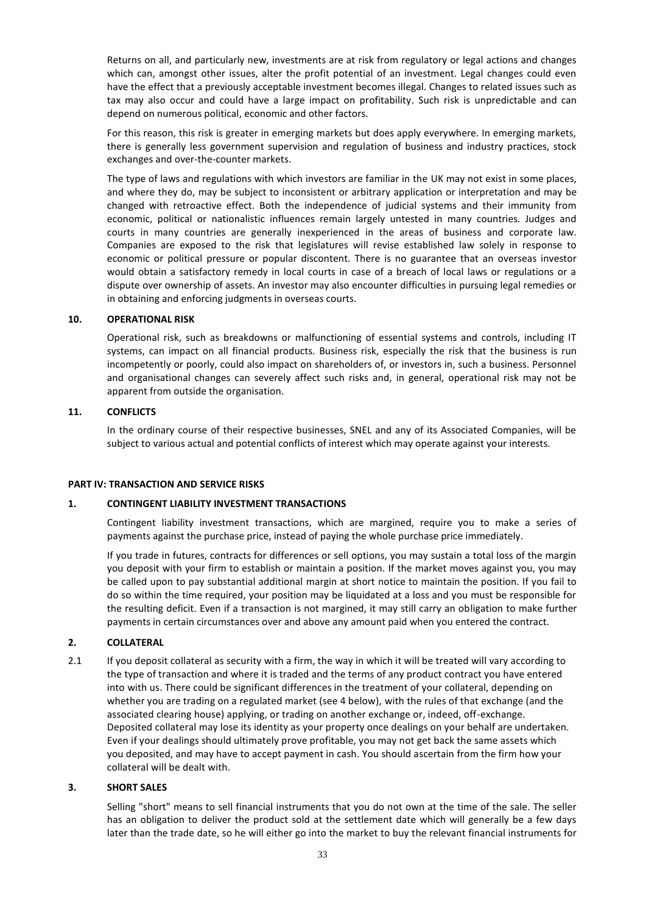Returns on all, and particularly new, investments are at risk from regulatory or legal actions and changes which can, amongst other issues, alter the profit potential of an investment. Legal changes could even have the effect that a previously acceptable investment becomes illegal. Changes to related issues such as tax may also occur and could have a large impact on profitability. Such risk is unpredictable and can depend on numerous political, economic and other factors.

For this reason, this risk is greater in emerging markets but does apply everywhere. In emerging markets, there is generally less government supervision and regulation of business and industry practices, stock exchanges and over-the-counter markets.

The type of laws and regulations with which investors are familiar in the UK may not exist in some places, and where they do, may be subject to inconsistent or arbitrary application or interpretation and may be changed with retroactive effect. Both the independence of judicial systems and their immunity from economic, political or nationalistic influences remain largely untested in many countries. Judges and courts in many countries are generally inexperienced in the areas of business and corporate law. Companies are exposed to the risk that legislatures will revise established law solely in response to economic or political pressure or popular discontent. There is no guarantee that an overseas investor would obtain a satisfactory remedy in local courts in case of a breach of local laws or regulations or a dispute over ownership of assets. An investor may also encounter difficulties in pursuing legal remedies or in obtaining and enforcing judgments in overseas courts.

## **10. OPERATIONAL RISK**

Operational risk, such as breakdowns or malfunctioning of essential systems and controls, including IT systems, can impact on all financial products. Business risk, especially the risk that the business is run incompetently or poorly, could also impact on shareholders of, or investors in, such a business. Personnel and organisational changes can severely affect such risks and, in general, operational risk may not be apparent from outside the organisation.

## **11. CONFLICTS**

In the ordinary course of their respective businesses, SNEL and any of its Associated Companies, will be subject to various actual and potential conflicts of interest which may operate against your interests.

#### **PART IV: TRANSACTION AND SERVICE RISKS**

#### **1. CONTINGENT LIABILITY INVESTMENT TRANSACTIONS**

Contingent liability investment transactions, which are margined, require you to make a series of payments against the purchase price, instead of paying the whole purchase price immediately.

If you trade in futures, contracts for differences or sell options, you may sustain a total loss of the margin you deposit with your firm to establish or maintain a position. If the market moves against you, you may be called upon to pay substantial additional margin at short notice to maintain the position. If you fail to do so within the time required, your position may be liquidated at a loss and you must be responsible for the resulting deficit. Even if a transaction is not margined, it may still carry an obligation to make further payments in certain circumstances over and above any amount paid when you entered the contract.

#### **2. COLLATERAL**

2.1 If you deposit collateral as security with a firm, the way in which it will be treated will vary according to the type of transaction and where it is traded and the terms of any product contract you have entered into with us. There could be significant differences in the treatment of your collateral, depending on whether you are trading on a regulated market (see 4 below), with the rules of that exchange (and the associated clearing house) applying, or trading on another exchange or, indeed, off-exchange. Deposited collateral may lose its identity as your property once dealings on your behalf are undertaken. Even if your dealings should ultimately prove profitable, you may not get back the same assets which you deposited, and may have to accept payment in cash. You should ascertain from the firm how your collateral will be dealt with.

#### **3. SHORT SALES**

Selling "short" means to sell financial instruments that you do not own at the time of the sale. The seller has an obligation to deliver the product sold at the settlement date which will generally be a few days later than the trade date, so he will either go into the market to buy the relevant financial instruments for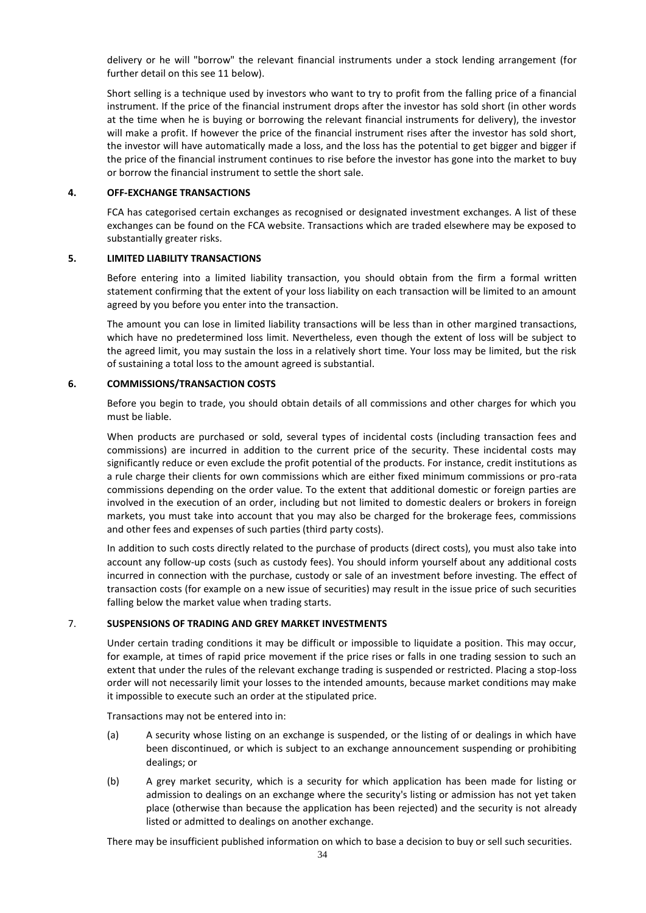delivery or he will "borrow" the relevant financial instruments under a stock lending arrangement (for further detail on this see 11 below).

Short selling is a technique used by investors who want to try to profit from the falling price of a financial instrument. If the price of the financial instrument drops after the investor has sold short (in other words at the time when he is buying or borrowing the relevant financial instruments for delivery), the investor will make a profit. If however the price of the financial instrument rises after the investor has sold short, the investor will have automatically made a loss, and the loss has the potential to get bigger and bigger if the price of the financial instrument continues to rise before the investor has gone into the market to buy or borrow the financial instrument to settle the short sale.

#### **4. OFF-EXCHANGE TRANSACTIONS**

FCA has categorised certain exchanges as recognised or designated investment exchanges. A list of these exchanges can be found on the FCA website. Transactions which are traded elsewhere may be exposed to substantially greater risks.

## **5. LIMITED LIABILITY TRANSACTIONS**

Before entering into a limited liability transaction, you should obtain from the firm a formal written statement confirming that the extent of your loss liability on each transaction will be limited to an amount agreed by you before you enter into the transaction.

The amount you can lose in limited liability transactions will be less than in other margined transactions, which have no predetermined loss limit. Nevertheless, even though the extent of loss will be subject to the agreed limit, you may sustain the loss in a relatively short time. Your loss may be limited, but the risk of sustaining a total loss to the amount agreed is substantial.

#### **6. COMMISSIONS/TRANSACTION COSTS**

Before you begin to trade, you should obtain details of all commissions and other charges for which you must be liable.

When products are purchased or sold, several types of incidental costs (including transaction fees and commissions) are incurred in addition to the current price of the security. These incidental costs may significantly reduce or even exclude the profit potential of the products. For instance, credit institutions as a rule charge their clients for own commissions which are either fixed minimum commissions or pro-rata commissions depending on the order value. To the extent that additional domestic or foreign parties are involved in the execution of an order, including but not limited to domestic dealers or brokers in foreign markets, you must take into account that you may also be charged for the brokerage fees, commissions and other fees and expenses of such parties (third party costs).

In addition to such costs directly related to the purchase of products (direct costs), you must also take into account any follow-up costs (such as custody fees). You should inform yourself about any additional costs incurred in connection with the purchase, custody or sale of an investment before investing. The effect of transaction costs (for example on a new issue of securities) may result in the issue price of such securities falling below the market value when trading starts.

## 7. **SUSPENSIONS OF TRADING AND GREY MARKET INVESTMENTS**

Under certain trading conditions it may be difficult or impossible to liquidate a position. This may occur, for example, at times of rapid price movement if the price rises or falls in one trading session to such an extent that under the rules of the relevant exchange trading is suspended or restricted. Placing a stop-loss order will not necessarily limit your losses to the intended amounts, because market conditions may make it impossible to execute such an order at the stipulated price.

Transactions may not be entered into in:

- (a) A security whose listing on an exchange is suspended, or the listing of or dealings in which have been discontinued, or which is subject to an exchange announcement suspending or prohibiting dealings; or
- (b) A grey market security, which is a security for which application has been made for listing or admission to dealings on an exchange where the security's listing or admission has not yet taken place (otherwise than because the application has been rejected) and the security is not already listed or admitted to dealings on another exchange.

There may be insufficient published information on which to base a decision to buy or sell such securities.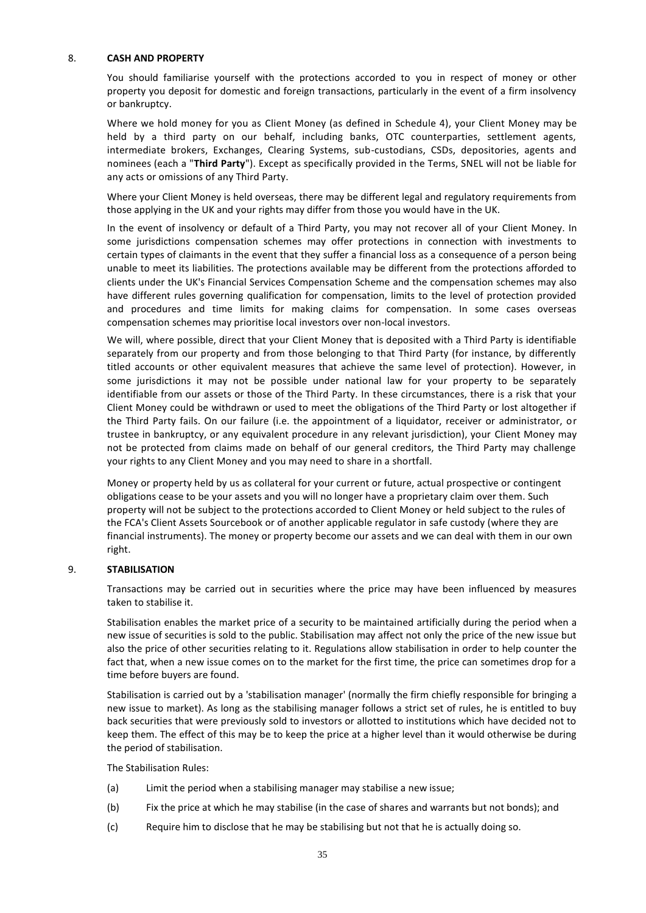## 8. **CASH AND PROPERTY**

You should familiarise yourself with the protections accorded to you in respect of money or other property you deposit for domestic and foreign transactions, particularly in the event of a firm insolvency or bankruptcy.

Where we hold money for you as Client Money (as defined in Schedule 4), your Client Money may be held by a third party on our behalf, including banks, OTC counterparties, settlement agents, intermediate brokers, Exchanges, Clearing Systems, sub-custodians, CSDs, depositories, agents and nominees (each a "**Third Party**"). Except as specifically provided in the Terms, SNEL will not be liable for any acts or omissions of any Third Party.

Where your Client Money is held overseas, there may be different legal and regulatory requirements from those applying in the UK and your rights may differ from those you would have in the UK.

In the event of insolvency or default of a Third Party, you may not recover all of your Client Money. In some jurisdictions compensation schemes may offer protections in connection with investments to certain types of claimants in the event that they suffer a financial loss as a consequence of a person being unable to meet its liabilities. The protections available may be different from the protections afforded to clients under the UK's Financial Services Compensation Scheme and the compensation schemes may also have different rules governing qualification for compensation, limits to the level of protection provided and procedures and time limits for making claims for compensation. In some cases overseas compensation schemes may prioritise local investors over non-local investors.

We will, where possible, direct that your Client Money that is deposited with a Third Party is identifiable separately from our property and from those belonging to that Third Party (for instance, by differently titled accounts or other equivalent measures that achieve the same level of protection). However, in some jurisdictions it may not be possible under national law for your property to be separately identifiable from our assets or those of the Third Party. In these circumstances, there is a risk that your Client Money could be withdrawn or used to meet the obligations of the Third Party or lost altogether if the Third Party fails. On our failure (i.e. the appointment of a liquidator, receiver or administrator, or trustee in bankruptcy, or any equivalent procedure in any relevant jurisdiction), your Client Money may not be protected from claims made on behalf of our general creditors, the Third Party may challenge your rights to any Client Money and you may need to share in a shortfall.

Money or property held by us as collateral for your current or future, actual prospective or contingent obligations cease to be your assets and you will no longer have a proprietary claim over them. Such property will not be subject to the protections accorded to Client Money or held subject to the rules of the FCA's Client Assets Sourcebook or of another applicable regulator in safe custody (where they are financial instruments). The money or property become our assets and we can deal with them in our own right.

# 9. **STABILISATION**

Transactions may be carried out in securities where the price may have been influenced by measures taken to stabilise it.

Stabilisation enables the market price of a security to be maintained artificially during the period when a new issue of securities is sold to the public. Stabilisation may affect not only the price of the new issue but also the price of other securities relating to it. Regulations allow stabilisation in order to help counter the fact that, when a new issue comes on to the market for the first time, the price can sometimes drop for a time before buyers are found.

Stabilisation is carried out by a 'stabilisation manager' (normally the firm chiefly responsible for bringing a new issue to market). As long as the stabilising manager follows a strict set of rules, he is entitled to buy back securities that were previously sold to investors or allotted to institutions which have decided not to keep them. The effect of this may be to keep the price at a higher level than it would otherwise be during the period of stabilisation.

The Stabilisation Rules:

- (a) Limit the period when a stabilising manager may stabilise a new issue;
- (b) Fix the price at which he may stabilise (in the case of shares and warrants but not bonds); and
- (c) Require him to disclose that he may be stabilising but not that he is actually doing so.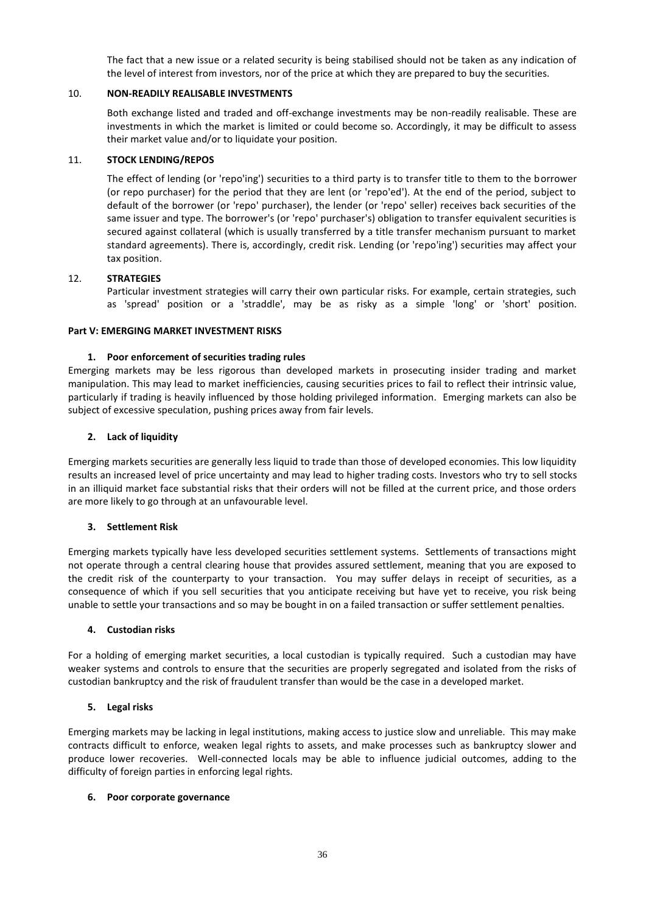The fact that a new issue or a related security is being stabilised should not be taken as any indication of the level of interest from investors, nor of the price at which they are prepared to buy the securities.

# 10. **NON-READILY REALISABLE INVESTMENTS**

Both exchange listed and traded and off-exchange investments may be non-readily realisable. These are investments in which the market is limited or could become so. Accordingly, it may be difficult to assess their market value and/or to liquidate your position.

# 11. **STOCK LENDING/REPOS**

The effect of lending (or 'repo'ing') securities to a third party is to transfer title to them to the borrower (or repo purchaser) for the period that they are lent (or 'repo'ed'). At the end of the period, subject to default of the borrower (or 'repo' purchaser), the lender (or 'repo' seller) receives back securities of the same issuer and type. The borrower's (or 'repo' purchaser's) obligation to transfer equivalent securities is secured against collateral (which is usually transferred by a title transfer mechanism pursuant to market standard agreements). There is, accordingly, credit risk. Lending (or 'repo'ing') securities may affect your tax position.

# 12. **STRATEGIES**

Particular investment strategies will carry their own particular risks. For example, certain strategies, such as 'spread' position or a 'straddle', may be as risky as a simple 'long' or 'short' position.

## **Part V: EMERGING MARKET INVESTMENT RISKS**

# **1. Poor enforcement of securities trading rules**

Emerging markets may be less rigorous than developed markets in prosecuting insider trading and market manipulation. This may lead to market inefficiencies, causing securities prices to fail to reflect their intrinsic value, particularly if trading is heavily influenced by those holding privileged information. Emerging markets can also be subject of excessive speculation, pushing prices away from fair levels.

# **2. Lack of liquidity**

Emerging markets securities are generally less liquid to trade than those of developed economies. This low liquidity results an increased level of price uncertainty and may lead to higher trading costs. Investors who try to sell stocks in an illiquid market face substantial risks that their orders will not be filled at the current price, and those orders are more likely to go through at an unfavourable level.

## **3. Settlement Risk**

Emerging markets typically have less developed securities settlement systems. Settlements of transactions might not operate through a central clearing house that provides assured settlement, meaning that you are exposed to the credit risk of the counterparty to your transaction. You may suffer delays in receipt of securities, as a consequence of which if you sell securities that you anticipate receiving but have yet to receive, you risk being unable to settle your transactions and so may be bought in on a failed transaction or suffer settlement penalties.

## **4. Custodian risks**

For a holding of emerging market securities, a local custodian is typically required. Such a custodian may have weaker systems and controls to ensure that the securities are properly segregated and isolated from the risks of custodian bankruptcy and the risk of fraudulent transfer than would be the case in a developed market.

## **5. Legal risks**

Emerging markets may be lacking in legal institutions, making access to justice slow and unreliable. This may make contracts difficult to enforce, weaken legal rights to assets, and make processes such as bankruptcy slower and produce lower recoveries. Well-connected locals may be able to influence judicial outcomes, adding to the difficulty of foreign parties in enforcing legal rights.

## **6. Poor corporate governance**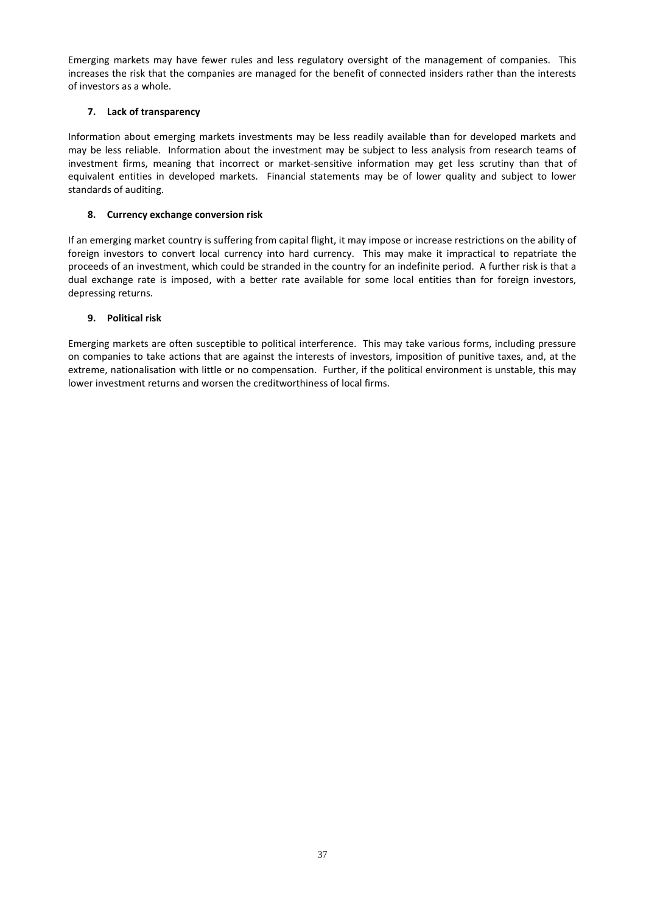Emerging markets may have fewer rules and less regulatory oversight of the management of companies. This increases the risk that the companies are managed for the benefit of connected insiders rather than the interests of investors as a whole.

# **7. Lack of transparency**

Information about emerging markets investments may be less readily available than for developed markets and may be less reliable. Information about the investment may be subject to less analysis from research teams of investment firms, meaning that incorrect or market-sensitive information may get less scrutiny than that of equivalent entities in developed markets. Financial statements may be of lower quality and subject to lower standards of auditing.

# **8. Currency exchange conversion risk**

If an emerging market country is suffering from capital flight, it may impose or increase restrictions on the ability of foreign investors to convert local currency into hard currency. This may make it impractical to repatriate the proceeds of an investment, which could be stranded in the country for an indefinite period. A further risk is that a dual exchange rate is imposed, with a better rate available for some local entities than for foreign investors, depressing returns.

# **9. Political risk**

Emerging markets are often susceptible to political interference. This may take various forms, including pressure on companies to take actions that are against the interests of investors, imposition of punitive taxes, and, at the extreme, nationalisation with little or no compensation. Further, if the political environment is unstable, this may lower investment returns and worsen the creditworthiness of local firms.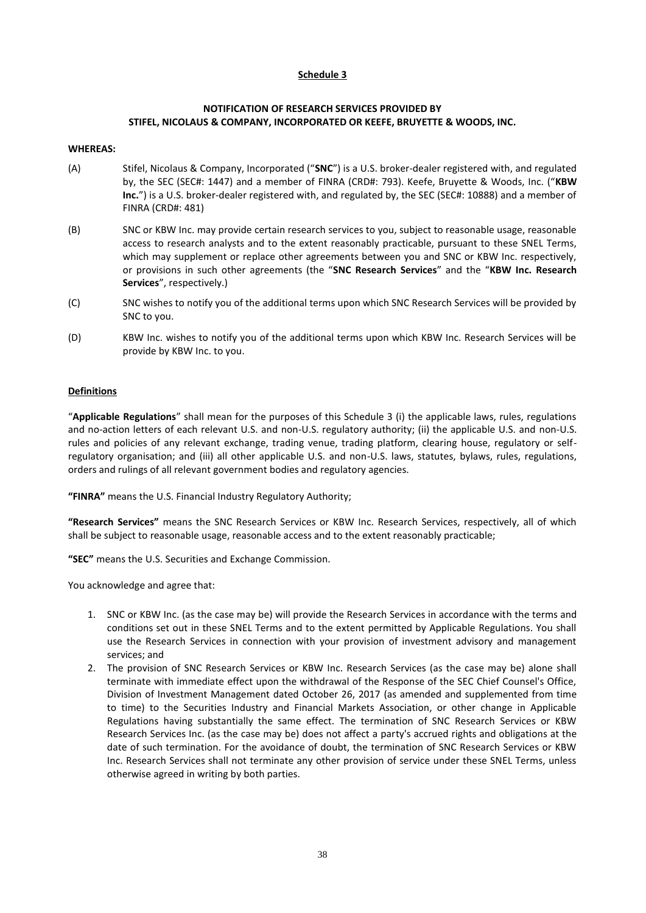# **Schedule 3**

## **NOTIFICATION OF RESEARCH SERVICES PROVIDED BY STIFEL, NICOLAUS & COMPANY, INCORPORATED OR KEEFE, BRUYETTE & WOODS, INC.**

#### **WHEREAS:**

- (A) Stifel, Nicolaus & Company, Incorporated ("**SNC**") is a U.S. broker-dealer registered with, and regulated by, the SEC (SEC#: 1447) and a member of FINRA (CRD#: 793). Keefe, Bruyette & Woods, Inc. ("**KBW**  Inc.") is a U.S. broker-dealer registered with, and regulated by, the SEC (SEC#: 10888) and a member of FINRA (CRD#: 481)
- (B) SNC or KBW Inc. may provide certain research services to you, subject to reasonable usage, reasonable access to research analysts and to the extent reasonably practicable, pursuant to these SNEL Terms, which may supplement or replace other agreements between you and SNC or KBW Inc. respectively, or provisions in such other agreements (the "**SNC Research Services**" and the "**KBW Inc. Research Services**", respectively.)
- (C) SNC wishes to notify you of the additional terms upon which SNC Research Services will be provided by SNC to you.
- (D) KBW Inc. wishes to notify you of the additional terms upon which KBW Inc. Research Services will be provide by KBW Inc. to you.

## **Definitions**

"**Applicable Regulations**" shall mean for the purposes of this Schedule 3 (i) the applicable laws, rules, regulations and no-action letters of each relevant U.S. and non-U.S. regulatory authority; (ii) the applicable U.S. and non-U.S. rules and policies of any relevant exchange, trading venue, trading platform, clearing house, regulatory or selfregulatory organisation; and (iii) all other applicable U.S. and non-U.S. laws, statutes, bylaws, rules, regulations, orders and rulings of all relevant government bodies and regulatory agencies.

**"FINRA"** means the U.S. Financial Industry Regulatory Authority;

**"Research Services"** means the SNC Research Services or KBW Inc. Research Services, respectively, all of which shall be subject to reasonable usage, reasonable access and to the extent reasonably practicable;

**"SEC"** means the U.S. Securities and Exchange Commission.

You acknowledge and agree that:

- 1. SNC or KBW Inc. (as the case may be) will provide the Research Services in accordance with the terms and conditions set out in these SNEL Terms and to the extent permitted by Applicable Regulations. You shall use the Research Services in connection with your provision of investment advisory and management services; and
- 2. The provision of SNC Research Services or KBW Inc. Research Services (as the case may be) alone shall terminate with immediate effect upon the withdrawal of the Response of the SEC Chief Counsel's Office, Division of Investment Management dated October 26, 2017 (as amended and supplemented from time to time) to the Securities Industry and Financial Markets Association, or other change in Applicable Regulations having substantially the same effect. The termination of SNC Research Services or KBW Research Services Inc. (as the case may be) does not affect a party's accrued rights and obligations at the date of such termination. For the avoidance of doubt, the termination of SNC Research Services or KBW Inc. Research Services shall not terminate any other provision of service under these SNEL Terms, unless otherwise agreed in writing by both parties.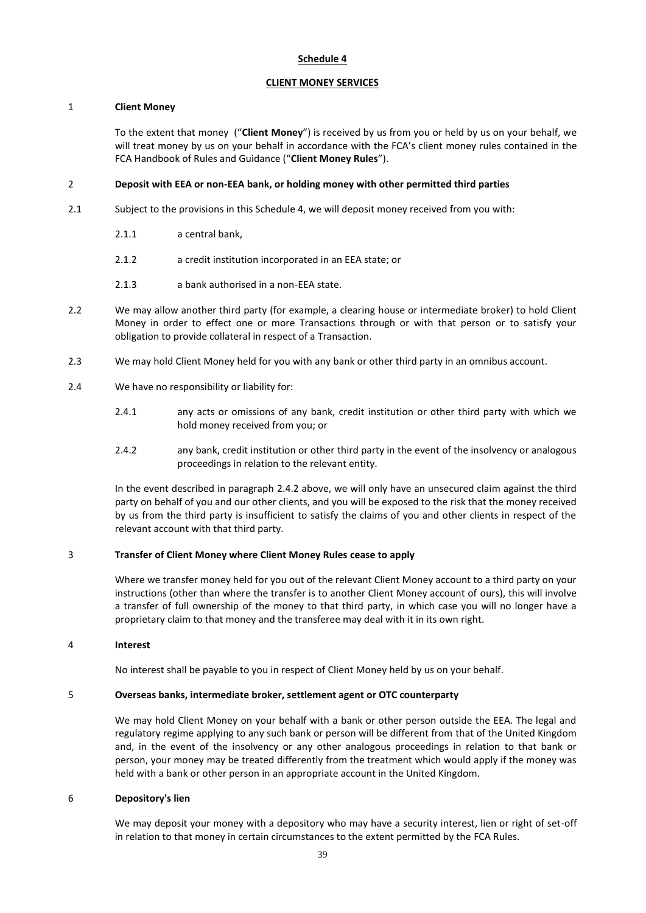## **Schedule 4**

#### **CLIENT MONEY SERVICES**

#### 1 **Client Money**

To the extent that money ("**Client Money**") is received by us from you or held by us on your behalf, we will treat money by us on your behalf in accordance with the FCA's client money rules contained in the FCA Handbook of Rules and Guidance ("**Client Money Rules**").

# 2 **Deposit with EEA or non-EEA bank, or holding money with other permitted third parties**

- 2.1 Subject to the provisions in this Schedule 4, we will deposit money received from you with:
	- 2.1.1 a central bank,
	- 2.1.2 a credit institution incorporated in an EEA state; or
	- 2.1.3 a bank authorised in a non-EEA state.
- 2.2 We may allow another third party (for example, a clearing house or intermediate broker) to hold Client Money in order to effect one or more Transactions through or with that person or to satisfy your obligation to provide collateral in respect of a Transaction.
- 2.3 We may hold Client Money held for you with any bank or other third party in an omnibus account.
- 2.4 We have no responsibility or liability for:
	- 2.4.1 any acts or omissions of any bank, credit institution or other third party with which we hold money received from you; or
	- 2.4.2 any bank, credit institution or other third party in the event of the insolvency or analogous proceedings in relation to the relevant entity.

In the event described in paragraph 2.4.2 above, we will only have an unsecured claim against the third party on behalf of you and our other clients, and you will be exposed to the risk that the money received by us from the third party is insufficient to satisfy the claims of you and other clients in respect of the relevant account with that third party.

## 3 **Transfer of Client Money where Client Money Rules cease to apply**

Where we transfer money held for you out of the relevant Client Money account to a third party on your instructions (other than where the transfer is to another Client Money account of ours), this will involve a transfer of full ownership of the money to that third party, in which case you will no longer have a proprietary claim to that money and the transferee may deal with it in its own right.

#### 4 **Interest**

No interest shall be payable to you in respect of Client Money held by us on your behalf.

#### 5 **Overseas banks, intermediate broker, settlement agent or OTC counterparty**

We may hold Client Money on your behalf with a bank or other person outside the EEA. The legal and regulatory regime applying to any such bank or person will be different from that of the United Kingdom and, in the event of the insolvency or any other analogous proceedings in relation to that bank or person, your money may be treated differently from the treatment which would apply if the money was held with a bank or other person in an appropriate account in the United Kingdom.

#### 6 **Depository's lien**

We may deposit your money with a depository who may have a security interest, lien or right of set-off in relation to that money in certain circumstances to the extent permitted by the FCA Rules.